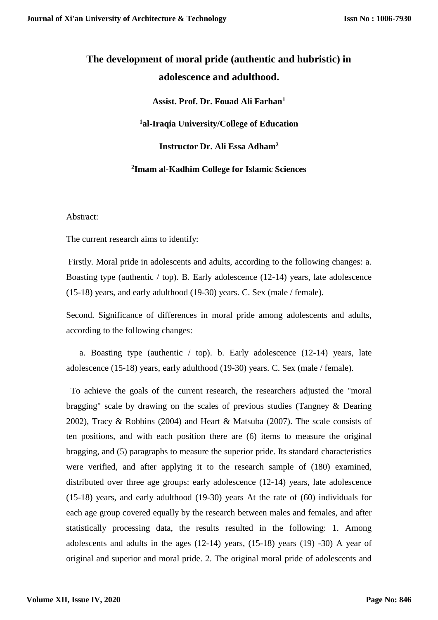# **The development of moral pride (authentic and hubristic) in adolescence and adulthood.**

**Assist. Prof. Dr. Fouad Ali Farhan<sup>1</sup>**

**<sup>1</sup>al-Iraqia University/College of Education**

**Instructor Dr. Ali Essa Adham<sup>2</sup>**

**2 Imam al-Kadhim College for Islamic Sciences**

Abstract:

The current research aims to identify:

Firstly. Moral pride in adolescents and adults, according to the following changes: a. Boasting type (authentic  $/$  top). B. Early adolescence (12-14) years, late adolescence (15-18) years, and early adulthood (19-30) years. C. Sex (male / female).

Second. Significance of differences in moral pride among adolescents and adults, according to the following changes:

 a. Boasting type (authentic / top). b. Early adolescence (12-14) years, late adolescence (15-18) years, early adulthood (19-30) years. C. Sex (male / female).

 To achieve the goals of the current research, the researchers adjusted the "moral bragging" scale by drawing on the scales of previous studies (Tangney & Dearing 2002), Tracy & Robbins (2004) and Heart & Matsuba (2007). The scale consists of ten positions, and with each position there are (6) items to measure the original bragging, and (5) paragraphs to measure the superior pride. Its standard characteristics were verified, and after applying it to the research sample of (180) examined, distributed over three age groups: early adolescence (12-14) years, late adolescence (15-18) years, and early adulthood (19-30) years At the rate of (60) individuals for each age group covered equally by the research between males and females, and after statistically processing data, the results resulted in the following: 1. Among adolescents and adults in the ages (12-14) years, (15-18) years (19) -30) A year of original and superior and moral pride. 2. The original moral pride of adolescents and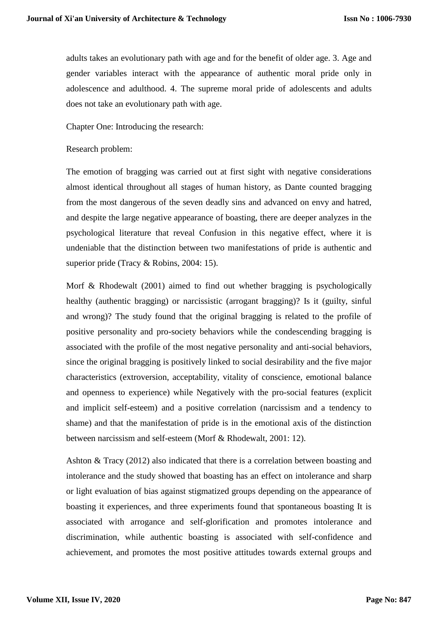adults takes an evolutionary path with age and for the benefit of older age. 3. Age and gender variables interact with the appearance of authentic moral pride only in adolescence and adulthood. 4. The supreme moral pride of adolescents and adults does not take an evolutionary path with age.

Chapter One: Introducing the research:

#### Research problem:

The emotion of bragging was carried out at first sight with negative considerations almost identical throughout all stages of human history, as Dante counted bragging from the most dangerous of the seven deadly sins and advanced on envy and hatred, and despite the large negative appearance of boasting, there are deeper analyzes in the psychological literature that reveal Confusion in this negative effect, where it is undeniable that the distinction between two manifestations of pride is authentic and superior pride (Tracy & Robins, 2004: 15).

Morf & Rhodewalt (2001) aimed to find out whether bragging is psychologically healthy (authentic bragging) or narcissistic (arrogant bragging)? Is it (guilty, sinful and wrong)? The study found that the original bragging is related to the profile of positive personality and pro-society behaviors while the condescending bragging is associated with the profile of the most negative personality and anti-social behaviors, since the original bragging is positively linked to social desirability and the five major characteristics (extroversion, acceptability, vitality of conscience, emotional balance and openness to experience) while Negatively with the pro-social features (explicit and implicit self-esteem) and a positive correlation (narcissism and a tendency to shame) and that the manifestation of pride is in the emotional axis of the distinction between narcissism and self-esteem (Morf & Rhodewalt, 2001: 12).

Ashton & Tracy (2012) also indicated that there is a correlation between boasting and intolerance and the study showed that boasting has an effect on intolerance and sharp or light evaluation of bias against stigmatized groups depending on the appearance of boasting it experiences, and three experiments found that spontaneous boasting It is associated with arrogance and self-glorification and promotes intolerance and discrimination, while authentic boasting is associated with self-confidence and achievement, and promotes the most positive attitudes towards external groups and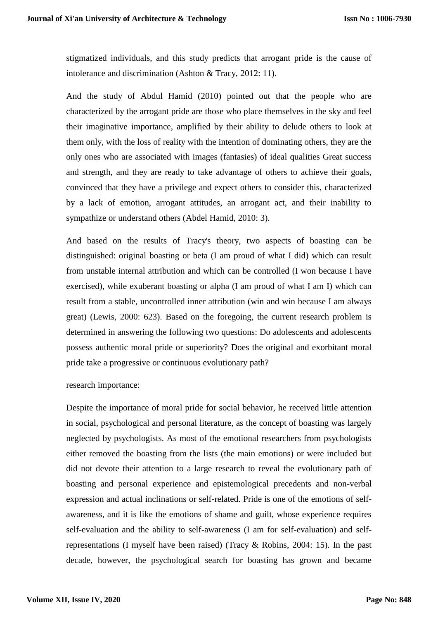stigmatized individuals, and this study predicts that arrogant pride is the cause of intolerance and discrimination (Ashton & Tracy, 2012: 11).

And the study of Abdul Hamid (2010) pointed out that the people who are characterized by the arrogant pride are those who place themselves in the sky and feel their imaginative importance, amplified by their ability to delude others to look at them only, with the loss of reality with the intention of dominating others, they are the only ones who are associated with images (fantasies) of ideal qualities Great success and strength, and they are ready to take advantage of others to achieve their goals, convinced that they have a privilege and expect others to consider this, characterized by a lack of emotion, arrogant attitudes, an arrogant act, and their inability to sympathize or understand others (Abdel Hamid, 2010: 3).

And based on the results of Tracy's theory, two aspects of boasting can be distinguished: original boasting or beta (I am proud of what I did) which can result from unstable internal attribution and which can be controlled (I won because I have exercised), while exuberant boasting or alpha (I am proud of what I am I) which can result from a stable, uncontrolled inner attribution (win and win because I am always great) (Lewis, 2000: 623). Based on the foregoing, the current research problem is determined in answering the following two questions: Do adolescents and adolescents possess authentic moral pride or superiority? Does the original and exorbitant moral pride take a progressive or continuous evolutionary path?

## research importance:

Despite the importance of moral pride for social behavior, he received little attention in social, psychological and personal literature, as the concept of boasting was largely neglected by psychologists. As most of the emotional researchers from psychologists either removed the boasting from the lists (the main emotions) or were included but did not devote their attention to a large research to reveal the evolutionary path of boasting and personal experience and epistemological precedents and non-verbal expression and actual inclinations or self-related. Pride is one of the emotions of selfawareness, and it is like the emotions of shame and guilt, whose experience requires self-evaluation and the ability to self-awareness (I am for self-evaluation) and selfrepresentations (I myself have been raised) (Tracy & Robins, 2004: 15). In the past decade, however, the psychological search for boasting has grown and became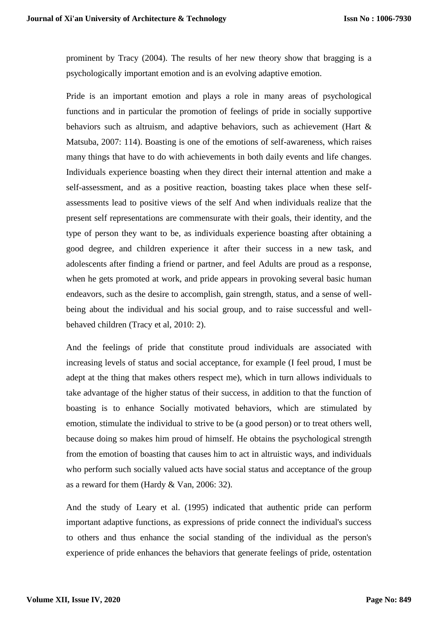prominent by Tracy (2004). The results of her new theory show that bragging is a psychologically important emotion and is an evolving adaptive emotion.

Pride is an important emotion and plays a role in many areas of psychological functions and in particular the promotion of feelings of pride in socially supportive behaviors such as altruism, and adaptive behaviors, such as achievement (Hart & Matsuba, 2007: 114). Boasting is one of the emotions of self-awareness, which raises many things that have to do with achievements in both daily events and life changes. Individuals experience boasting when they direct their internal attention and make a self-assessment, and as a positive reaction, boasting takes place when these selfassessments lead to positive views of the self And when individuals realize that the present self representations are commensurate with their goals, their identity, and the type of person they want to be, as individuals experience boasting after obtaining a good degree, and children experience it after their success in a new task, and adolescents after finding a friend or partner, and feel Adults are proud as a response, when he gets promoted at work, and pride appears in provoking several basic human endeavors, such as the desire to accomplish, gain strength, status, and a sense of wellbeing about the individual and his social group, and to raise successful and wellbehaved children (Tracy et al, 2010: 2).

And the feelings of pride that constitute proud individuals are associated with increasing levels of status and social acceptance, for example (I feel proud, I must be adept at the thing that makes others respect me), which in turn allows individuals to take advantage of the higher status of their success, in addition to that the function of boasting is to enhance Socially motivated behaviors, which are stimulated by emotion, stimulate the individual to strive to be (a good person) or to treat others well, because doing so makes him proud of himself. He obtains the psychological strength from the emotion of boasting that causes him to act in altruistic ways, and individuals who perform such socially valued acts have social status and acceptance of the group as a reward for them (Hardy & Van, 2006: 32).

And the study of Leary et al. (1995) indicated that authentic pride can perform important adaptive functions, as expressions of pride connect the individual's success to others and thus enhance the social standing of the individual as the person's experience of pride enhances the behaviors that generate feelings of pride, ostentation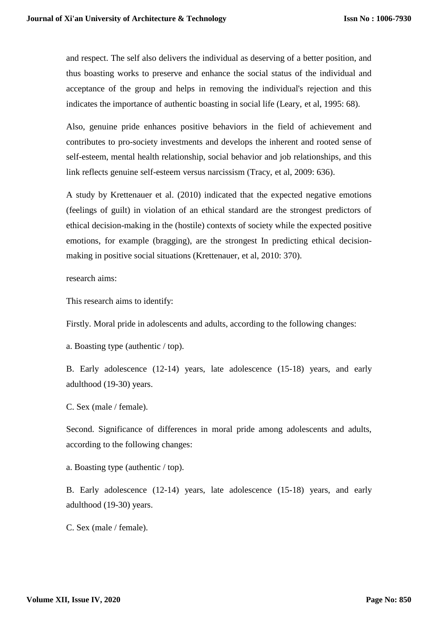and respect. The self also delivers the individual as deserving of a better position, and thus boasting works to preserve and enhance the social status of the individual and acceptance of the group and helps in removing the individual's rejection and this indicates the importance of authentic boasting in social life (Leary, et al, 1995: 68).

Also, genuine pride enhances positive behaviors in the field of achievement and contributes to pro-society investments and develops the inherent and rooted sense of self-esteem, mental health relationship, social behavior and job relationships, and this link reflects genuine self-esteem versus narcissism (Tracy, et al, 2009: 636).

A study by Krettenauer et al. (2010) indicated that the expected negative emotions (feelings of guilt) in violation of an ethical standard are the strongest predictors of ethical decision-making in the (hostile) contexts of society while the expected positive emotions, for example (bragging), are the strongest In predicting ethical decisionmaking in positive social situations (Krettenauer, et al, 2010: 370).

research aims:

This research aims to identify:

Firstly. Moral pride in adolescents and adults, according to the following changes:

a. Boasting type (authentic / top).

B. Early adolescence (12-14) years, late adolescence (15-18) years, and early adulthood (19-30) years.

C. Sex (male / female).

Second. Significance of differences in moral pride among adolescents and adults, according to the following changes:

a. Boasting type (authentic / top).

B. Early adolescence (12-14) years, late adolescence (15-18) years, and early adulthood (19-30) years.

C. Sex (male / female).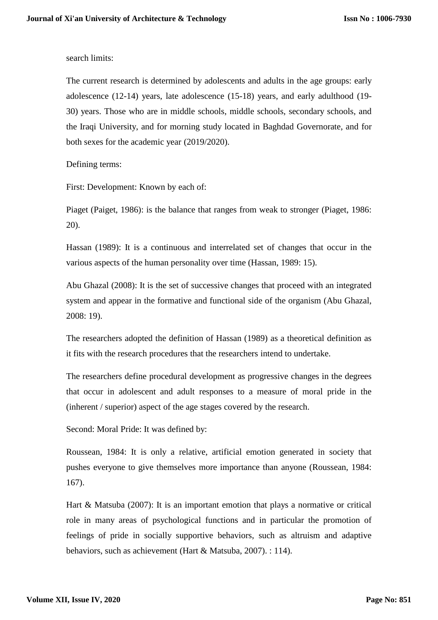search limits:

The current research is determined by adolescents and adults in the age groups: early adolescence (12-14) years, late adolescence (15-18) years, and early adulthood (19- 30) years. Those who are in middle schools, middle schools, secondary schools, and the Iraqi University, and for morning study located in Baghdad Governorate, and for both sexes for the academic year (2019/2020).

Defining terms:

First: Development: Known by each of:

Piaget (Paiget, 1986): is the balance that ranges from weak to stronger (Piaget, 1986: 20).

Hassan (1989): It is a continuous and interrelated set of changes that occur in the various aspects of the human personality over time (Hassan, 1989: 15).

Abu Ghazal (2008): It is the set of successive changes that proceed with an integrated system and appear in the formative and functional side of the organism (Abu Ghazal, 2008: 19).

The researchers adopted the definition of Hassan (1989) as a theoretical definition as it fits with the research procedures that the researchers intend to undertake.

The researchers define procedural development as progressive changes in the degrees that occur in adolescent and adult responses to a measure of moral pride in the (inherent / superior) aspect of the age stages covered by the research.

Second: Moral Pride: It was defined by:

Roussean, 1984: It is only a relative, artificial emotion generated in society that pushes everyone to give themselves more importance than anyone (Roussean, 1984: 167).

Hart & Matsuba (2007): It is an important emotion that plays a normative or critical role in many areas of psychological functions and in particular the promotion of feelings of pride in socially supportive behaviors, such as altruism and adaptive behaviors, such as achievement (Hart & Matsuba, 2007). : 114).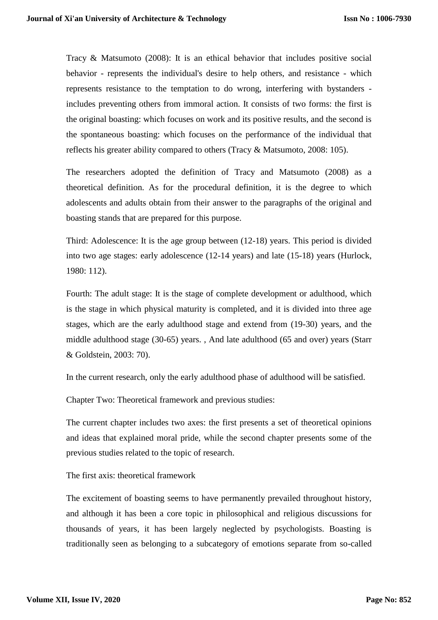Tracy & Matsumoto (2008): It is an ethical behavior that includes positive social behavior - represents the individual's desire to help others, and resistance - which represents resistance to the temptation to do wrong, interfering with bystanders includes preventing others from immoral action. It consists of two forms: the first is the original boasting: which focuses on work and its positive results, and the second is the spontaneous boasting: which focuses on the performance of the individual that reflects his greater ability compared to others (Tracy & Matsumoto, 2008: 105).

The researchers adopted the definition of Tracy and Matsumoto (2008) as a theoretical definition. As for the procedural definition, it is the degree to which adolescents and adults obtain from their answer to the paragraphs of the original and boasting stands that are prepared for this purpose.

Third: Adolescence: It is the age group between (12-18) years. This period is divided into two age stages: early adolescence (12-14 years) and late (15-18) years (Hurlock, 1980: 112).

Fourth: The adult stage: It is the stage of complete development or adulthood, which is the stage in which physical maturity is completed, and it is divided into three age stages, which are the early adulthood stage and extend from (19-30) years, and the middle adulthood stage (30-65) years. , And late adulthood (65 and over) years (Starr & Goldstein, 2003: 70).

In the current research, only the early adulthood phase of adulthood will be satisfied.

Chapter Two: Theoretical framework and previous studies:

The current chapter includes two axes: the first presents a set of theoretical opinions and ideas that explained moral pride, while the second chapter presents some of the previous studies related to the topic of research.

The first axis: theoretical framework

The excitement of boasting seems to have permanently prevailed throughout history, and although it has been a core topic in philosophical and religious discussions for thousands of years, it has been largely neglected by psychologists. Boasting is traditionally seen as belonging to a subcategory of emotions separate from so-called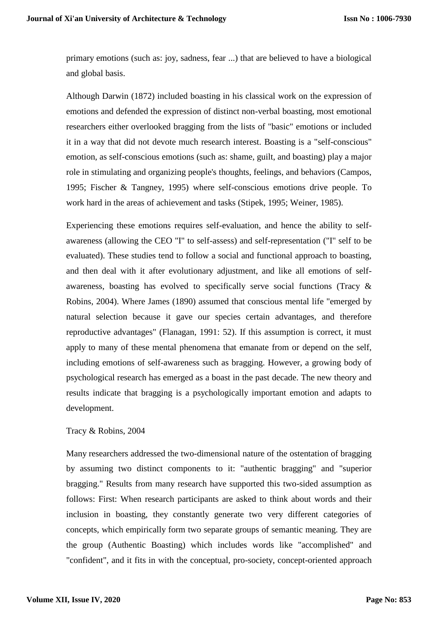primary emotions (such as: joy, sadness, fear ...) that are believed to have a biological and global basis.

Although Darwin (1872) included boasting in his classical work on the expression of emotions and defended the expression of distinct non-verbal boasting, most emotional researchers either overlooked bragging from the lists of "basic" emotions or included it in a way that did not devote much research interest. Boasting is a "self-conscious" emotion, as self-conscious emotions (such as: shame, guilt, and boasting) play a major role in stimulating and organizing people's thoughts, feelings, and behaviors (Campos, 1995; Fischer & Tangney, 1995) where self-conscious emotions drive people. To work hard in the areas of achievement and tasks (Stipek, 1995; Weiner, 1985).

Experiencing these emotions requires self-evaluation, and hence the ability to selfawareness (allowing the CEO "I" to self-assess) and self-representation ("I" self to be evaluated). These studies tend to follow a social and functional approach to boasting, and then deal with it after evolutionary adjustment, and like all emotions of selfawareness, boasting has evolved to specifically serve social functions (Tracy & Robins, 2004). Where James (1890) assumed that conscious mental life "emerged by natural selection because it gave our species certain advantages, and therefore reproductive advantages" (Flanagan, 1991: 52). If this assumption is correct, it must apply to many of these mental phenomena that emanate from or depend on the self, including emotions of self-awareness such as bragging. However, a growing body of psychological research has emerged as a boast in the past decade. The new theory and results indicate that bragging is a psychologically important emotion and adapts to development.

#### Tracy & Robins, 2004

Many researchers addressed the two-dimensional nature of the ostentation of bragging by assuming two distinct components to it: "authentic bragging" and "superior bragging." Results from many research have supported this two-sided assumption as follows: First: When research participants are asked to think about words and their inclusion in boasting, they constantly generate two very different categories of concepts, which empirically form two separate groups of semantic meaning. They are the group (Authentic Boasting) which includes words like "accomplished" and "confident", and it fits in with the conceptual, pro-society, concept-oriented approach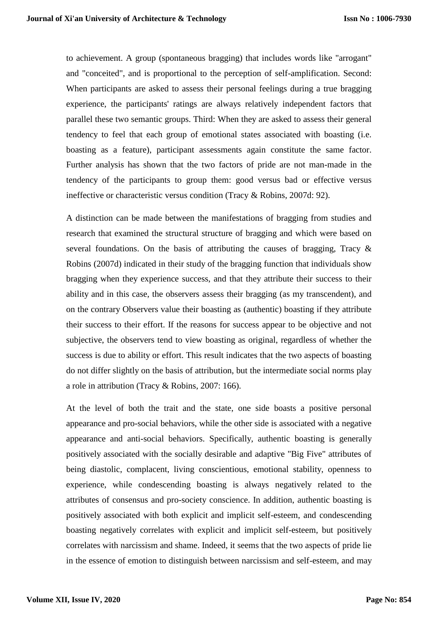to achievement. A group (spontaneous bragging) that includes words like "arrogant" and "conceited", and is proportional to the perception of self-amplification. Second: When participants are asked to assess their personal feelings during a true bragging experience, the participants' ratings are always relatively independent factors that parallel these two semantic groups. Third: When they are asked to assess their general tendency to feel that each group of emotional states associated with boasting (i.e. boasting as a feature), participant assessments again constitute the same factor. Further analysis has shown that the two factors of pride are not man-made in the tendency of the participants to group them: good versus bad or effective versus ineffective or characteristic versus condition (Tracy & Robins, 2007d: 92).

A distinction can be made between the manifestations of bragging from studies and research that examined the structural structure of bragging and which were based on several foundations. On the basis of attributing the causes of bragging, Tracy & Robins (2007d) indicated in their study of the bragging function that individuals show bragging when they experience success, and that they attribute their success to their ability and in this case, the observers assess their bragging (as my transcendent), and on the contrary Observers value their boasting as (authentic) boasting if they attribute their success to their effort. If the reasons for success appear to be objective and not subjective, the observers tend to view boasting as original, regardless of whether the success is due to ability or effort. This result indicates that the two aspects of boasting do not differ slightly on the basis of attribution, but the intermediate social norms play a role in attribution (Tracy & Robins, 2007: 166).

At the level of both the trait and the state, one side boasts a positive personal appearance and pro-social behaviors, while the other side is associated with a negative appearance and anti-social behaviors. Specifically, authentic boasting is generally positively associated with the socially desirable and adaptive "Big Five" attributes of being diastolic, complacent, living conscientious, emotional stability, openness to experience, while condescending boasting is always negatively related to the attributes of consensus and pro-society conscience. In addition, authentic boasting is positively associated with both explicit and implicit self-esteem, and condescending boasting negatively correlates with explicit and implicit self-esteem, but positively correlates with narcissism and shame. Indeed, it seems that the two aspects of pride lie in the essence of emotion to distinguish between narcissism and self-esteem, and may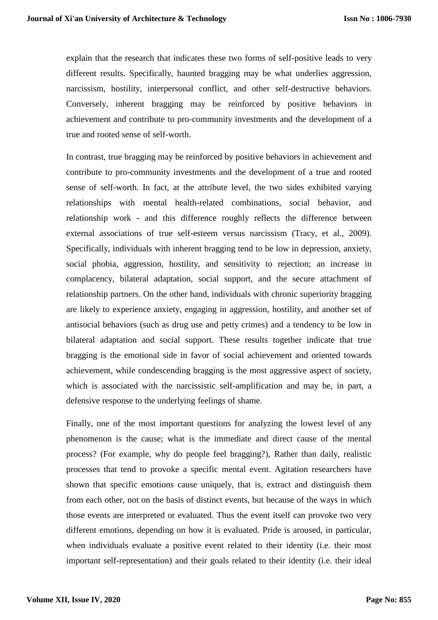explain that the research that indicates these two forms of self-positive leads to very different results. Specifically, haunted bragging may be what underlies aggression, narcissism, hostility, interpersonal conflict, and other self-destructive behaviors. Conversely, inherent bragging may be reinforced by positive behaviors in achievement and contribute to pro-community investments and the development of a true and rooted sense of self-worth.

In contrast, true bragging may be reinforced by positive behaviors in achievement and contribute to pro-community investments and the development of a true and rooted sense of self-worth. In fact, at the attribute level, the two sides exhibited varying relationships with mental health-related combinations, social behavior, and relationship work - and this difference roughly reflects the difference between external associations of true self-esteem versus narcissism (Tracy, et al., 2009). Specifically, individuals with inherent bragging tend to be low in depression, anxiety, social phobia, aggression, hostility, and sensitivity to rejection; an increase in complacency, bilateral adaptation, social support, and the secure attachment of relationship partners. On the other hand, individuals with chronic superiority bragging are likely to experience anxiety, engaging in aggression, hostility, and another set of antisocial behaviors (such as drug use and petty crimes) and a tendency to be low in bilateral adaptation and social support. These results together indicate that true bragging is the emotional side in favor of social achievement and oriented towards achievement, while condescending bragging is the most aggressive aspect of society, which is associated with the narcissistic self-amplification and may be, in part, a defensive response to the underlying feelings of shame.

Finally, one of the most important questions for analyzing the lowest level of any phenomenon is the cause; what is the immediate and direct cause of the mental process? (For example, why do people feel bragging?), Rather than daily, realistic processes that tend to provoke a specific mental event. Agitation researchers have shown that specific emotions cause uniquely, that is, extract and distinguish them from each other, not on the basis of distinct events, but because of the ways in which those events are interpreted or evaluated. Thus the event itself can provoke two very different emotions, depending on how it is evaluated. Pride is aroused, in particular, when individuals evaluate a positive event related to their identity (i.e. their most important self-representation) and their goals related to their identity (i.e. their ideal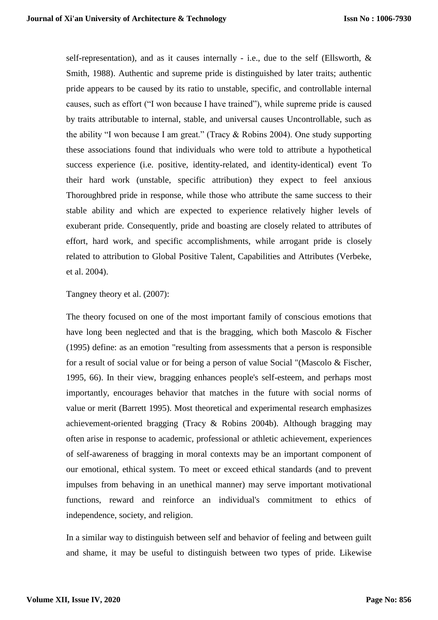self-representation), and as it causes internally - i.e., due to the self (Ellsworth, & Smith, 1988). Authentic and supreme pride is distinguished by later traits; authentic pride appears to be caused by its ratio to unstable, specific, and controllable internal causes, such as effort ("I won because I have trained"), while supreme pride is caused by traits attributable to internal, stable, and universal causes Uncontrollable, such as the ability "I won because I am great." (Tracy & Robins 2004). One study supporting these associations found that individuals who were told to attribute a hypothetical success experience (i.e. positive, identity-related, and identity-identical) event To their hard work (unstable, specific attribution) they expect to feel anxious Thoroughbred pride in response, while those who attribute the same success to their stable ability and which are expected to experience relatively higher levels of exuberant pride. Consequently, pride and boasting are closely related to attributes of effort, hard work, and specific accomplishments, while arrogant pride is closely related to attribution to Global Positive Talent, Capabilities and Attributes (Verbeke, et al. 2004).

Tangney theory et al. (2007):

The theory focused on one of the most important family of conscious emotions that have long been neglected and that is the bragging, which both Mascolo & Fischer (1995) define: as an emotion "resulting from assessments that a person is responsible for a result of social value or for being a person of value Social "(Mascolo & Fischer, 1995, 66). In their view, bragging enhances people's self-esteem, and perhaps most importantly, encourages behavior that matches in the future with social norms of value or merit (Barrett 1995). Most theoretical and experimental research emphasizes achievement-oriented bragging (Tracy & Robins 2004b). Although bragging may often arise in response to academic, professional or athletic achievement, experiences of self-awareness of bragging in moral contexts may be an important component of our emotional, ethical system. To meet or exceed ethical standards (and to prevent impulses from behaving in an unethical manner) may serve important motivational functions, reward and reinforce an individual's commitment to ethics of independence, society, and religion.

In a similar way to distinguish between self and behavior of feeling and between guilt and shame, it may be useful to distinguish between two types of pride. Likewise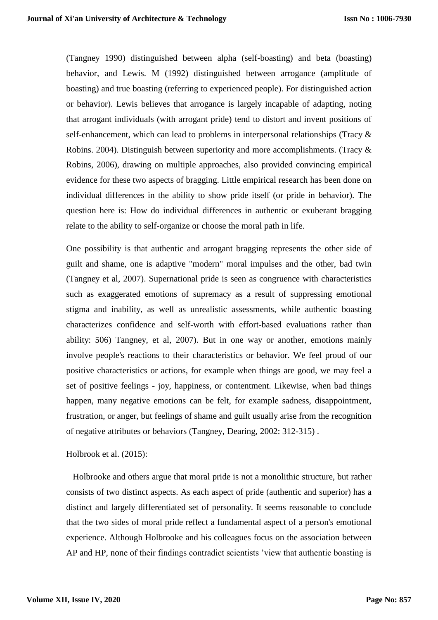(Tangney 1990) distinguished between alpha (self-boasting) and beta (boasting) behavior, and Lewis. M (1992) distinguished between arrogance (amplitude of boasting) and true boasting (referring to experienced people). For distinguished action or behavior). Lewis believes that arrogance is largely incapable of adapting, noting that arrogant individuals (with arrogant pride) tend to distort and invent positions of self-enhancement, which can lead to problems in interpersonal relationships (Tracy & Robins. 2004). Distinguish between superiority and more accomplishments. (Tracy & Robins, 2006), drawing on multiple approaches, also provided convincing empirical evidence for these two aspects of bragging. Little empirical research has been done on individual differences in the ability to show pride itself (or pride in behavior). The question here is: How do individual differences in authentic or exuberant bragging relate to the ability to self-organize or choose the moral path in life.

One possibility is that authentic and arrogant bragging represents the other side of guilt and shame, one is adaptive "modern" moral impulses and the other, bad twin (Tangney et al, 2007). Supernational pride is seen as congruence with characteristics such as exaggerated emotions of supremacy as a result of suppressing emotional stigma and inability, as well as unrealistic assessments, while authentic boasting characterizes confidence and self-worth with effort-based evaluations rather than ability: 506) Tangney, et al, 2007). But in one way or another, emotions mainly involve people's reactions to their characteristics or behavior. We feel proud of our positive characteristics or actions, for example when things are good, we may feel a set of positive feelings - joy, happiness, or contentment. Likewise, when bad things happen, many negative emotions can be felt, for example sadness, disappointment, frustration, or anger, but feelings of shame and guilt usually arise from the recognition of negative attributes or behaviors (Tangney, Dearing, 2002: 312-315) .

#### Holbrook et al. (2015):

 Holbrooke and others argue that moral pride is not a monolithic structure, but rather consists of two distinct aspects. As each aspect of pride (authentic and superior) has a distinct and largely differentiated set of personality. It seems reasonable to conclude that the two sides of moral pride reflect a fundamental aspect of a person's emotional experience. Although Holbrooke and his colleagues focus on the association between AP and HP, none of their findings contradict scientists 'view that authentic boasting is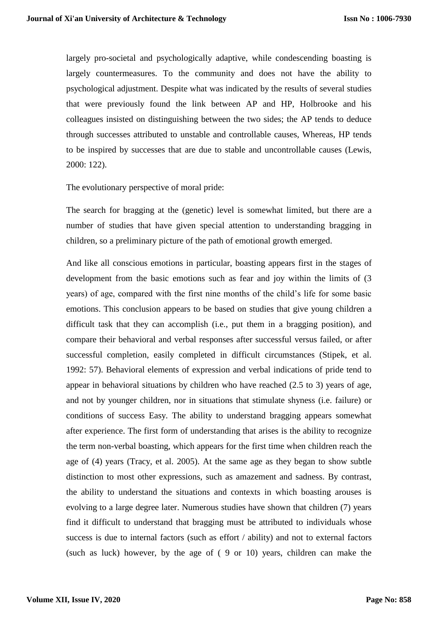largely pro-societal and psychologically adaptive, while condescending boasting is largely countermeasures. To the community and does not have the ability to psychological adjustment. Despite what was indicated by the results of several studies that were previously found the link between AP and HP, Holbrooke and his colleagues insisted on distinguishing between the two sides; the AP tends to deduce through successes attributed to unstable and controllable causes, Whereas, HP tends to be inspired by successes that are due to stable and uncontrollable causes (Lewis, 2000: 122).

The evolutionary perspective of moral pride:

The search for bragging at the (genetic) level is somewhat limited, but there are a number of studies that have given special attention to understanding bragging in children, so a preliminary picture of the path of emotional growth emerged.

And like all conscious emotions in particular, boasting appears first in the stages of development from the basic emotions such as fear and joy within the limits of (3 years) of age, compared with the first nine months of the child's life for some basic emotions. This conclusion appears to be based on studies that give young children a difficult task that they can accomplish (i.e., put them in a bragging position), and compare their behavioral and verbal responses after successful versus failed, or after successful completion, easily completed in difficult circumstances (Stipek, et al. 1992: 57). Behavioral elements of expression and verbal indications of pride tend to appear in behavioral situations by children who have reached (2.5 to 3) years of age, and not by younger children, nor in situations that stimulate shyness (i.e. failure) or conditions of success Easy. The ability to understand bragging appears somewhat after experience. The first form of understanding that arises is the ability to recognize the term non-verbal boasting, which appears for the first time when children reach the age of (4) years (Tracy, et al. 2005). At the same age as they began to show subtle distinction to most other expressions, such as amazement and sadness. By contrast, the ability to understand the situations and contexts in which boasting arouses is evolving to a large degree later. Numerous studies have shown that children (7) years find it difficult to understand that bragging must be attributed to individuals whose success is due to internal factors (such as effort / ability) and not to external factors (such as luck) however, by the age of ( 9 or 10) years, children can make the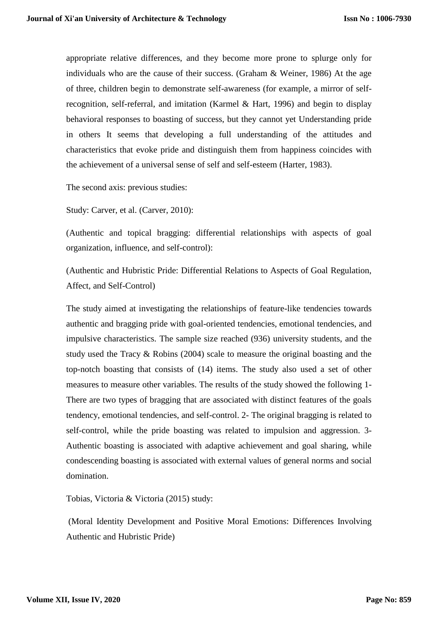appropriate relative differences, and they become more prone to splurge only for individuals who are the cause of their success. (Graham & Weiner, 1986) At the age of three, children begin to demonstrate self-awareness (for example, a mirror of selfrecognition, self-referral, and imitation (Karmel & Hart, 1996) and begin to display behavioral responses to boasting of success, but they cannot yet Understanding pride in others It seems that developing a full understanding of the attitudes and characteristics that evoke pride and distinguish them from happiness coincides with the achievement of a universal sense of self and self-esteem (Harter, 1983).

The second axis: previous studies:

Study: Carver, et al. (Carver, 2010):

(Authentic and topical bragging: differential relationships with aspects of goal organization, influence, and self-control):

(Authentic and Hubristic Pride: Differential Relations to Aspects of Goal Regulation, Affect, and Self-Control)

The study aimed at investigating the relationships of feature-like tendencies towards authentic and bragging pride with goal-oriented tendencies, emotional tendencies, and impulsive characteristics. The sample size reached (936) university students, and the study used the Tracy & Robins (2004) scale to measure the original boasting and the top-notch boasting that consists of (14) items. The study also used a set of other measures to measure other variables. The results of the study showed the following 1- There are two types of bragging that are associated with distinct features of the goals tendency, emotional tendencies, and self-control. 2- The original bragging is related to self-control, while the pride boasting was related to impulsion and aggression. 3- Authentic boasting is associated with adaptive achievement and goal sharing, while condescending boasting is associated with external values of general norms and social domination.

Tobias, Victoria & Victoria (2015) study:

(Moral Identity Development and Positive Moral Emotions: Differences Involving Authentic and Hubristic Pride)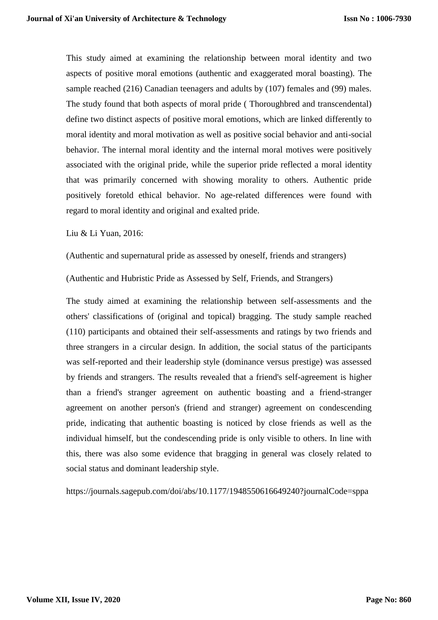This study aimed at examining the relationship between moral identity and two aspects of positive moral emotions (authentic and exaggerated moral boasting). The sample reached (216) Canadian teenagers and adults by (107) females and (99) males. The study found that both aspects of moral pride ( Thoroughbred and transcendental) define two distinct aspects of positive moral emotions, which are linked differently to moral identity and moral motivation as well as positive social behavior and anti-social behavior. The internal moral identity and the internal moral motives were positively associated with the original pride, while the superior pride reflected a moral identity that was primarily concerned with showing morality to others. Authentic pride positively foretold ethical behavior. No age-related differences were found with regard to moral identity and original and exalted pride.

Liu & Li Yuan, 2016:

(Authentic and supernatural pride as assessed by oneself, friends and strangers)

(Authentic and Hubristic Pride as Assessed by Self, Friends, and Strangers)

The study aimed at examining the relationship between self-assessments and the others' classifications of (original and topical) bragging. The study sample reached (110) participants and obtained their self-assessments and ratings by two friends and three strangers in a circular design. In addition, the social status of the participants was self-reported and their leadership style (dominance versus prestige) was assessed by friends and strangers. The results revealed that a friend's self-agreement is higher than a friend's stranger agreement on authentic boasting and a friend-stranger agreement on another person's (friend and stranger) agreement on condescending pride, indicating that authentic boasting is noticed by close friends as well as the individual himself, but the condescending pride is only visible to others. In line with this, there was also some evidence that bragging in general was closely related to social status and dominant leadership style.

https://journals.sagepub.com/doi/abs/10.1177/1948550616649240?journalCode=sppa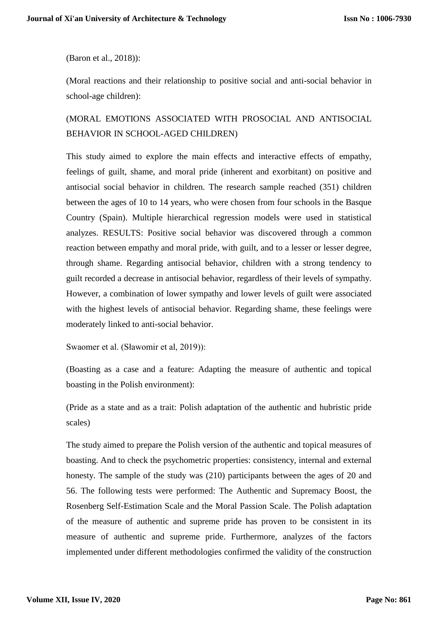(Baron et al., 2018)):

(Moral reactions and their relationship to positive social and anti-social behavior in school-age children):

## (MORAL EMOTIONS ASSOCIATED WITH PROSOCIAL AND ANTISOCIAL BEHAVIOR IN SCHOOL-AGED CHILDREN)

This study aimed to explore the main effects and interactive effects of empathy, feelings of guilt, shame, and moral pride (inherent and exorbitant) on positive and antisocial social behavior in children. The research sample reached (351) children between the ages of 10 to 14 years, who were chosen from four schools in the Basque Country (Spain). Multiple hierarchical regression models were used in statistical analyzes. RESULTS: Positive social behavior was discovered through a common reaction between empathy and moral pride, with guilt, and to a lesser or lesser degree, through shame. Regarding antisocial behavior, children with a strong tendency to guilt recorded a decrease in antisocial behavior, regardless of their levels of sympathy. However, a combination of lower sympathy and lower levels of guilt were associated with the highest levels of antisocial behavior. Regarding shame, these feelings were moderately linked to anti-social behavior.

Swaomer et al. (Sławomir et al, 2019)):

(Boasting as a case and a feature: Adapting the measure of authentic and topical boasting in the Polish environment):

(Pride as a state and as a trait: Polish adaptation of the authentic and hubristic pride scales)

The study aimed to prepare the Polish version of the authentic and topical measures of boasting. And to check the psychometric properties: consistency, internal and external honesty. The sample of the study was (210) participants between the ages of 20 and 56. The following tests were performed: The Authentic and Supremacy Boost, the Rosenberg Self-Estimation Scale and the Moral Passion Scale. The Polish adaptation of the measure of authentic and supreme pride has proven to be consistent in its measure of authentic and supreme pride. Furthermore, analyzes of the factors implemented under different methodologies confirmed the validity of the construction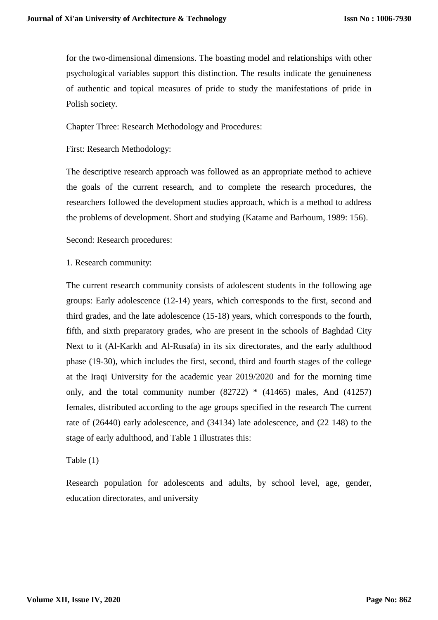for the two-dimensional dimensions. The boasting model and relationships with other psychological variables support this distinction. The results indicate the genuineness of authentic and topical measures of pride to study the manifestations of pride in Polish society.

Chapter Three: Research Methodology and Procedures:

First: Research Methodology:

The descriptive research approach was followed as an appropriate method to achieve the goals of the current research, and to complete the research procedures, the researchers followed the development studies approach, which is a method to address the problems of development. Short and studying (Katame and Barhoum, 1989: 156).

Second: Research procedures:

1. Research community:

The current research community consists of adolescent students in the following age groups: Early adolescence (12-14) years, which corresponds to the first, second and third grades, and the late adolescence (15-18) years, which corresponds to the fourth, fifth, and sixth preparatory grades, who are present in the schools of Baghdad City Next to it (Al-Karkh and Al-Rusafa) in its six directorates, and the early adulthood phase (19-30), which includes the first, second, third and fourth stages of the college at the Iraqi University for the academic year 2019/2020 and for the morning time only, and the total community number  $(82722)$  \*  $(41465)$  males, And  $(41257)$ females, distributed according to the age groups specified in the research The current rate of (26440) early adolescence, and (34134) late adolescence, and (22 148) to the stage of early adulthood, and Table 1 illustrates this:

## Table (1)

Research population for adolescents and adults, by school level, age, gender, education directorates, and university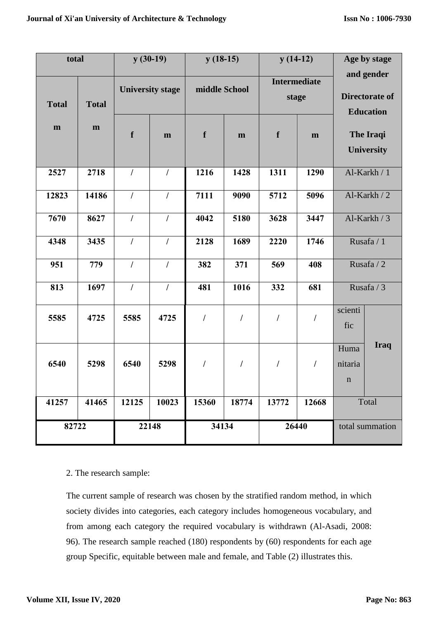| total        |              |                         | $y(30-19)$     | $y(18-15)$    |                | $y(14-12)$                   |                |                                | Age by stage                                     |
|--------------|--------------|-------------------------|----------------|---------------|----------------|------------------------------|----------------|--------------------------------|--------------------------------------------------|
| <b>Total</b> | <b>Total</b> | <b>University stage</b> |                | middle School |                | <b>Intermediate</b><br>stage |                |                                | and gender<br>Directorate of<br><b>Education</b> |
| $\mathbf m$  | m            | f                       | $\mathbf{m}$   | f             | m              | $\mathbf f$                  | m              |                                | <b>The Iraqi</b><br><b>University</b>            |
| 2527         | 2718         | $\prime$                | $\prime$       | 1216          | 1428           | 1311                         | 1290           |                                | Al-Karkh / 1                                     |
| 12823        | 14186        | $\sqrt{2}$              | $\prime$       | 7111          | 9090           | 5712                         | 5096           |                                | Al-Karkh / 2                                     |
| 7670         | 8627         | $\sqrt{ }$              | $\sqrt{ }$     | 4042          | 5180           | 3628                         | 3447           |                                | Al-Karkh / 3                                     |
| 4348         | 3435         | $\overline{1}$          | $\sqrt{ }$     | 2128          | 1689           | 2220                         | 1746           | Rusafa / 1                     |                                                  |
| 951          | 779          | $\overline{1}$          | $\overline{I}$ | 382           | 371            | 569                          | 408            | Rusafa / 2                     |                                                  |
| 813          | 1697         | $\overline{1}$          | $\overline{1}$ | 481           | 1016           | 332                          | 681            |                                | Rusafa / 3                                       |
| 5585         | 4725         | 5585                    | 4725           | $\cal I$      | $\overline{1}$ | $\sqrt{2}$                   | I              | scienti<br>fic                 |                                                  |
| 6540         | 5298         | 6540                    | 5298           | $\sqrt{2}$    | T              | $\sqrt{2}$                   | $\overline{1}$ | Huma<br>nitaria<br>$\mathbf n$ | <b>Iraq</b>                                      |
| 41257        | 41465        | 12125                   | 10023          | 15360         | 18774          | 13772                        | 12668          |                                | Total                                            |
| 82722        |              |                         | 22148          | 34134         |                | 26440                        |                |                                | total summation                                  |

## 2. The research sample:

The current sample of research was chosen by the stratified random method, in which society divides into categories, each category includes homogeneous vocabulary, and from among each category the required vocabulary is withdrawn (Al-Asadi, 2008: 96). The research sample reached (180) respondents by (60) respondents for each age group Specific, equitable between male and female, and Table (2) illustrates this.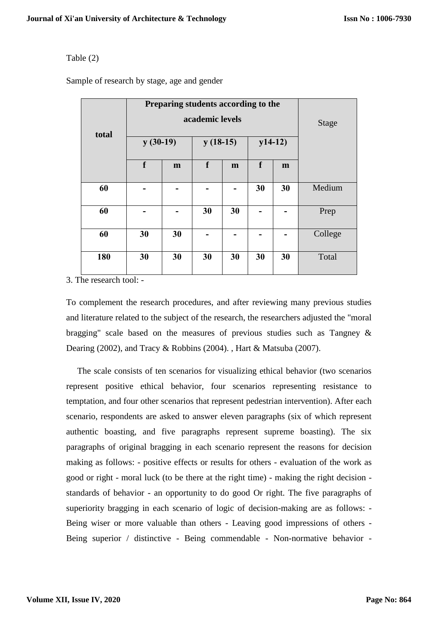## Table (2)

Sample of research by stage, age and gender

| total | Preparing students according to the<br>$y(30-19)$ | <b>Stage</b> |                      |    |                                |    |         |
|-------|---------------------------------------------------|--------------|----------------------|----|--------------------------------|----|---------|
|       | $\mathbf f$                                       | m            | $y(18-15)$<br>f<br>m |    | $y14-12)$<br>f<br>$\mathbf{m}$ |    |         |
|       |                                                   |              |                      |    |                                |    |         |
| 60    |                                                   |              |                      |    | 30                             | 30 | Medium  |
| 60    |                                                   |              | 30                   | 30 |                                |    | Prep    |
| 60    | 30                                                | 30           |                      |    |                                |    | College |
| 180   | 30                                                | 30           | 30                   | 30 | 30                             | 30 | Total   |

3. The research tool: -

To complement the research procedures, and after reviewing many previous studies and literature related to the subject of the research, the researchers adjusted the "moral bragging" scale based on the measures of previous studies such as Tangney & Dearing (2002), and Tracy & Robbins (2004). , Hart & Matsuba (2007).

 The scale consists of ten scenarios for visualizing ethical behavior (two scenarios represent positive ethical behavior, four scenarios representing resistance to temptation, and four other scenarios that represent pedestrian intervention). After each scenario, respondents are asked to answer eleven paragraphs (six of which represent authentic boasting, and five paragraphs represent supreme boasting). The six paragraphs of original bragging in each scenario represent the reasons for decision making as follows: - positive effects or results for others - evaluation of the work as good or right - moral luck (to be there at the right time) - making the right decision standards of behavior - an opportunity to do good Or right. The five paragraphs of superiority bragging in each scenario of logic of decision-making are as follows: - Being wiser or more valuable than others - Leaving good impressions of others - Being superior / distinctive - Being commendable - Non-normative behavior -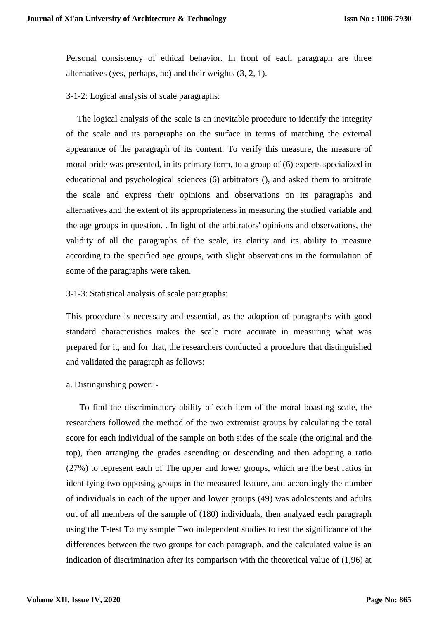Personal consistency of ethical behavior. In front of each paragraph are three alternatives (yes, perhaps, no) and their weights (3, 2, 1).

3-1-2: Logical analysis of scale paragraphs:

 The logical analysis of the scale is an inevitable procedure to identify the integrity of the scale and its paragraphs on the surface in terms of matching the external appearance of the paragraph of its content. To verify this measure, the measure of moral pride was presented, in its primary form, to a group of (6) experts specialized in educational and psychological sciences (6) arbitrators (), and asked them to arbitrate the scale and express their opinions and observations on its paragraphs and alternatives and the extent of its appropriateness in measuring the studied variable and the age groups in question. . In light of the arbitrators' opinions and observations, the validity of all the paragraphs of the scale, its clarity and its ability to measure according to the specified age groups, with slight observations in the formulation of some of the paragraphs were taken.

#### 3-1-3: Statistical analysis of scale paragraphs:

This procedure is necessary and essential, as the adoption of paragraphs with good standard characteristics makes the scale more accurate in measuring what was prepared for it, and for that, the researchers conducted a procedure that distinguished and validated the paragraph as follows:

a. Distinguishing power: -

 To find the discriminatory ability of each item of the moral boasting scale, the researchers followed the method of the two extremist groups by calculating the total score for each individual of the sample on both sides of the scale (the original and the top), then arranging the grades ascending or descending and then adopting a ratio (27%) to represent each of The upper and lower groups, which are the best ratios in identifying two opposing groups in the measured feature, and accordingly the number of individuals in each of the upper and lower groups (49) was adolescents and adults out of all members of the sample of (180) individuals, then analyzed each paragraph using the T-test To my sample Two independent studies to test the significance of the differences between the two groups for each paragraph, and the calculated value is an indication of discrimination after its comparison with the theoretical value of (1,96) at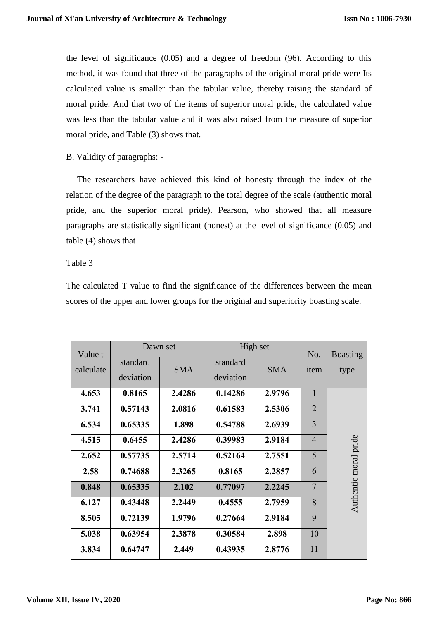the level of significance (0.05) and a degree of freedom (96). According to this method, it was found that three of the paragraphs of the original moral pride were Its calculated value is smaller than the tabular value, thereby raising the standard of moral pride. And that two of the items of superior moral pride, the calculated value was less than the tabular value and it was also raised from the measure of superior moral pride, and Table (3) shows that.

## B. Validity of paragraphs: -

 The researchers have achieved this kind of honesty through the index of the relation of the degree of the paragraph to the total degree of the scale (authentic moral pride, and the superior moral pride). Pearson, who showed that all measure paragraphs are statistically significant (honest) at the level of significance (0.05) and table (4) shows that

## Table 3

The calculated T value to find the significance of the differences between the mean scores of the upper and lower groups for the original and superiority boasting scale.

| Value t   | Dawn set              |            | High set              |            | No.            | <b>Boasting</b>       |
|-----------|-----------------------|------------|-----------------------|------------|----------------|-----------------------|
| calculate | standard<br>deviation | <b>SMA</b> | standard<br>deviation | <b>SMA</b> | item           | type                  |
| 4.653     | 0.8165                | 2.4286     | 0.14286               | 2.9796     | $\mathbf{1}$   |                       |
| 3.741     | 0.57143               | 2.0816     | 0.61583               | 2.5306     | $\overline{2}$ |                       |
| 6.534     | 0.65335               | 1.898      | 0.54788               | 2.6939     | $\overline{3}$ |                       |
| 4.515     | 0.6455                | 2.4286     | 0.39983               | 2.9184     | $\overline{4}$ |                       |
| 2.652     | 0.57735               | 2.5714     | 0.52164               | 2.7551     | 5              | Authentic moral pride |
| 2.58      | 0.74688               | 2.3265     | 0.8165                | 2.2857     | 6              |                       |
| 0.848     | 0.65335               | 2.102      | 0.77097               | 2.2245     | $\overline{7}$ |                       |
| 6.127     | 0.43448               | 2.2449     | 0.4555                | 2.7959     | 8              |                       |
| 8.505     | 0.72139               | 1.9796     | 0.27664               | 2.9184     | 9              |                       |
| 5.038     | 0.63954               | 2.3878     | 0.30584               | 2.898      | 10             |                       |
| 3.834     | 0.64747               | 2.449      | 0.43935               | 2.8776     | 11             |                       |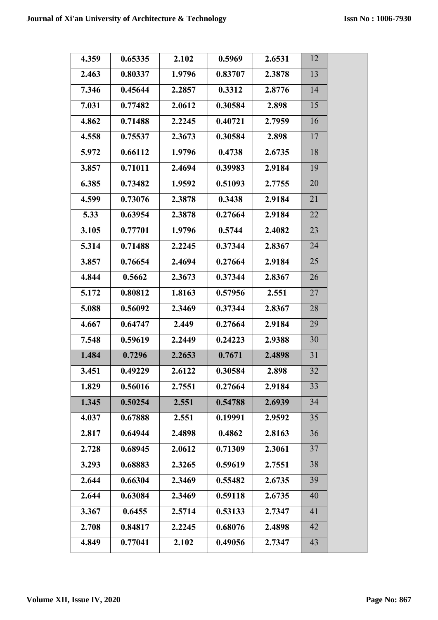| 4.359 | 0.65335 | 2.102  | 0.5969  | 2.6531 | 12 |  |
|-------|---------|--------|---------|--------|----|--|
| 2.463 | 0.80337 | 1.9796 | 0.83707 | 2.3878 | 13 |  |
| 7.346 | 0.45644 | 2.2857 | 0.3312  | 2.8776 | 14 |  |
| 7.031 | 0.77482 | 2.0612 | 0.30584 | 2.898  | 15 |  |
| 4.862 | 0.71488 | 2.2245 | 0.40721 | 2.7959 | 16 |  |
| 4.558 | 0.75537 | 2.3673 | 0.30584 | 2.898  | 17 |  |
| 5.972 | 0.66112 | 1.9796 | 0.4738  | 2.6735 | 18 |  |
| 3.857 | 0.71011 | 2.4694 | 0.39983 | 2.9184 | 19 |  |
| 6.385 | 0.73482 | 1.9592 | 0.51093 | 2.7755 | 20 |  |
| 4.599 | 0.73076 | 2.3878 | 0.3438  | 2.9184 | 21 |  |
| 5.33  | 0.63954 | 2.3878 | 0.27664 | 2.9184 | 22 |  |
| 3.105 | 0.77701 | 1.9796 | 0.5744  | 2.4082 | 23 |  |
| 5.314 | 0.71488 | 2.2245 | 0.37344 | 2.8367 | 24 |  |
| 3.857 | 0.76654 | 2.4694 | 0.27664 | 2.9184 | 25 |  |
| 4.844 | 0.5662  | 2.3673 | 0.37344 | 2.8367 | 26 |  |
| 5.172 | 0.80812 | 1.8163 | 0.57956 | 2.551  | 27 |  |
| 5.088 | 0.56092 | 2.3469 | 0.37344 | 2.8367 | 28 |  |
| 4.667 | 0.64747 | 2.449  | 0.27664 | 2.9184 | 29 |  |
| 7.548 | 0.59619 | 2.2449 | 0.24223 | 2.9388 | 30 |  |
| 1.484 | 0.7296  | 2.2653 | 0.7671  | 2.4898 | 31 |  |
| 3.451 | 0.49229 | 2.6122 | 0.30584 | 2.898  | 32 |  |
| 1.829 | 0.56016 | 2.7551 | 0.27664 | 2.9184 | 33 |  |
| 1.345 | 0.50254 | 2.551  | 0.54788 | 2.6939 | 34 |  |
| 4.037 | 0.67888 | 2.551  | 0.19991 | 2.9592 | 35 |  |
| 2.817 | 0.64944 | 2.4898 | 0.4862  | 2.8163 | 36 |  |
| 2.728 | 0.68945 | 2.0612 | 0.71309 | 2.3061 | 37 |  |
| 3.293 | 0.68883 | 2.3265 | 0.59619 | 2.7551 | 38 |  |
| 2.644 | 0.66304 | 2.3469 | 0.55482 | 2.6735 | 39 |  |
| 2.644 | 0.63084 | 2.3469 | 0.59118 | 2.6735 | 40 |  |
| 3.367 | 0.6455  | 2.5714 | 0.53133 | 2.7347 | 41 |  |
| 2.708 | 0.84817 | 2.2245 | 0.68076 | 2.4898 | 42 |  |
| 4.849 | 0.77041 | 2.102  | 0.49056 | 2.7347 | 43 |  |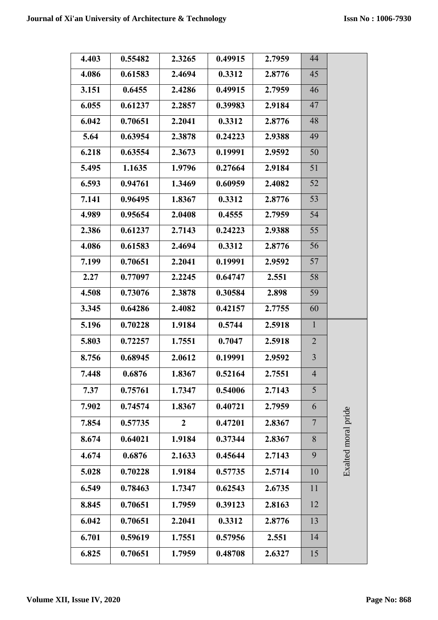| 4.403 | 0.55482 | 2.3265           | 0.49915 | 2.7959 | 44             |                     |
|-------|---------|------------------|---------|--------|----------------|---------------------|
| 4.086 | 0.61583 | 2.4694           | 0.3312  | 2.8776 | 45             |                     |
| 3.151 | 0.6455  | 2.4286           | 0.49915 | 2.7959 | 46             |                     |
| 6.055 | 0.61237 | 2.2857           | 0.39983 | 2.9184 | 47             |                     |
| 6.042 | 0.70651 | 2.2041           | 0.3312  | 2.8776 | 48             |                     |
| 5.64  | 0.63954 | 2.3878           | 0.24223 | 2.9388 | 49             |                     |
| 6.218 | 0.63554 | 2.3673           | 0.19991 | 2.9592 | 50             |                     |
| 5.495 | 1.1635  | 1.9796           | 0.27664 | 2.9184 | 51             |                     |
| 6.593 | 0.94761 | 1.3469           | 0.60959 | 2.4082 | 52             |                     |
| 7.141 | 0.96495 | 1.8367           | 0.3312  | 2.8776 | 53             |                     |
| 4.989 | 0.95654 | 2.0408           | 0.4555  | 2.7959 | 54             |                     |
| 2.386 | 0.61237 | 2.7143           | 0.24223 | 2.9388 | 55             |                     |
| 4.086 | 0.61583 | 2.4694           | 0.3312  | 2.8776 | 56             |                     |
| 7.199 | 0.70651 | 2.2041           | 0.19991 | 2.9592 | 57             |                     |
| 2.27  | 0.77097 | 2.2245           | 0.64747 | 2.551  | 58             |                     |
| 4.508 | 0.73076 | 2.3878           | 0.30584 | 2.898  | 59             |                     |
| 3.345 | 0.64286 | 2.4082           | 0.42157 | 2.7755 | 60             |                     |
| 5.196 | 0.70228 | 1.9184           | 0.5744  | 2.5918 | $\mathbf{1}$   |                     |
| 5.803 | 0.72257 | 1.7551           | 0.7047  | 2.5918 | 2              |                     |
| 8.756 | 0.68945 | 2.0612           | 0.19991 | 2.9592 | $\overline{3}$ |                     |
| 7.448 | 0.6876  | 1.8367           | 0.52164 | 2.7551 | $\overline{4}$ |                     |
| 7.37  | 0.75761 | 1.7347           | 0.54006 | 2.7143 | 5              |                     |
| 7.902 | 0.74574 | 1.8367           | 0.40721 | 2.7959 | 6              |                     |
| 7.854 | 0.57735 | $\boldsymbol{2}$ | 0.47201 | 2.8367 | $\overline{7}$ |                     |
| 8.674 | 0.64021 | 1.9184           | 0.37344 | 2.8367 | 8              | Exalted moral pride |
| 4.674 | 0.6876  | 2.1633           | 0.45644 | 2.7143 | 9              |                     |
| 5.028 | 0.70228 | 1.9184           | 0.57735 | 2.5714 | 10             |                     |
| 6.549 | 0.78463 | 1.7347           | 0.62543 | 2.6735 | 11             |                     |
| 8.845 | 0.70651 | 1.7959           | 0.39123 | 2.8163 | 12             |                     |
| 6.042 | 0.70651 | 2.2041           | 0.3312  | 2.8776 | 13             |                     |
| 6.701 | 0.59619 | 1.7551           | 0.57956 | 2.551  | 14             |                     |
| 6.825 | 0.70651 | 1.7959           | 0.48708 | 2.6327 | 15             |                     |
|       |         |                  |         |        |                |                     |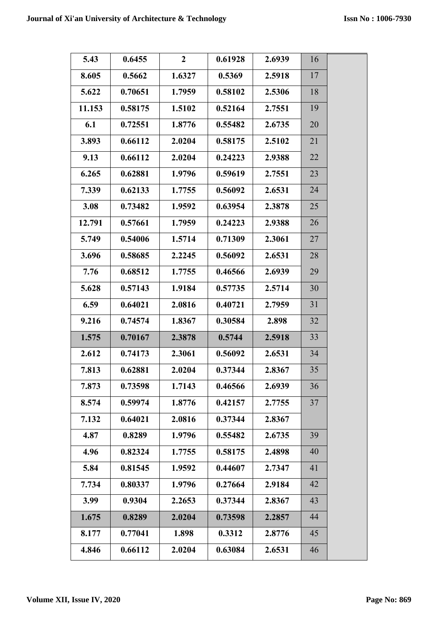| 5.43   | 0.6455  | $\mathbf{2}$ | 0.61928 | 2.6939 | 16 |  |
|--------|---------|--------------|---------|--------|----|--|
| 8.605  | 0.5662  | 1.6327       | 0.5369  | 2.5918 | 17 |  |
| 5.622  | 0.70651 | 1.7959       | 0.58102 | 2.5306 | 18 |  |
| 11.153 | 0.58175 | 1.5102       | 0.52164 | 2.7551 | 19 |  |
| 6.1    | 0.72551 | 1.8776       | 0.55482 | 2.6735 | 20 |  |
| 3.893  | 0.66112 | 2.0204       | 0.58175 | 2.5102 | 21 |  |
| 9.13   | 0.66112 | 2.0204       | 0.24223 | 2.9388 | 22 |  |
| 6.265  | 0.62881 | 1.9796       | 0.59619 | 2.7551 | 23 |  |
| 7.339  | 0.62133 | 1.7755       | 0.56092 | 2.6531 | 24 |  |
| 3.08   | 0.73482 | 1.9592       | 0.63954 | 2.3878 | 25 |  |
| 12.791 | 0.57661 | 1.7959       | 0.24223 | 2.9388 | 26 |  |
| 5.749  | 0.54006 | 1.5714       | 0.71309 | 2.3061 | 27 |  |
| 3.696  | 0.58685 | 2.2245       | 0.56092 | 2.6531 | 28 |  |
| 7.76   | 0.68512 | 1.7755       | 0.46566 | 2.6939 | 29 |  |
| 5.628  | 0.57143 | 1.9184       | 0.57735 | 2.5714 | 30 |  |
| 6.59   | 0.64021 | 2.0816       | 0.40721 | 2.7959 | 31 |  |
| 9.216  | 0.74574 | 1.8367       | 0.30584 | 2.898  | 32 |  |
| 1.575  | 0.70167 | 2.3878       | 0.5744  | 2.5918 | 33 |  |
| 2.612  | 0.74173 | 2.3061       | 0.56092 | 2.6531 | 34 |  |
| 7.813  | 0.62881 | 2.0204       | 0.37344 | 2.8367 | 35 |  |
| 7.873  | 0.73598 | 1.7143       | 0.46566 | 2.6939 | 36 |  |
| 8.574  | 0.59974 | 1.8776       | 0.42157 | 2.7755 | 37 |  |
| 7.132  | 0.64021 | 2.0816       | 0.37344 | 2.8367 |    |  |
| 4.87   | 0.8289  | 1.9796       | 0.55482 | 2.6735 | 39 |  |
| 4.96   | 0.82324 | 1.7755       | 0.58175 | 2.4898 | 40 |  |
| 5.84   | 0.81545 | 1.9592       | 0.44607 | 2.7347 | 41 |  |
| 7.734  | 0.80337 | 1.9796       | 0.27664 | 2.9184 | 42 |  |
| 3.99   | 0.9304  | 2.2653       | 0.37344 | 2.8367 | 43 |  |
| 1.675  | 0.8289  | 2.0204       | 0.73598 | 2.2857 | 44 |  |
| 8.177  | 0.77041 | 1.898        | 0.3312  | 2.8776 | 45 |  |
| 4.846  | 0.66112 | 2.0204       | 0.63084 | 2.6531 | 46 |  |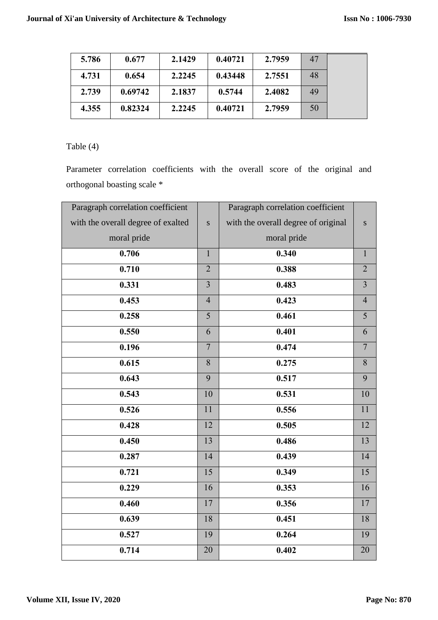| 5.786 | 0.677   | 2.1429 | 0.40721 | 2.7959 | 47 |
|-------|---------|--------|---------|--------|----|
| 4.731 | 0.654   | 2.2245 | 0.43448 | 2.7551 | 48 |
| 2.739 | 0.69742 | 2.1837 | 0.5744  | 2.4082 | 49 |
| 4.355 | 0.82324 | 2.2245 | 0.40721 | 2.7959 | 50 |

## Table (4)

Parameter correlation coefficients with the overall score of the original and orthogonal boasting scale \*

| Paragraph correlation coefficient  |                | Paragraph correlation coefficient   |                |
|------------------------------------|----------------|-------------------------------------|----------------|
| with the overall degree of exalted | $\mathbf S$    | with the overall degree of original | S              |
| moral pride                        |                | moral pride                         |                |
| 0.706                              | $\mathbf{1}$   | 0.340                               | $\mathbf{1}$   |
| 0.710                              | $\overline{2}$ | 0.388                               | $\overline{2}$ |
| 0.331                              | $\overline{3}$ | 0.483                               | $\overline{3}$ |
| 0.453                              | $\overline{4}$ | 0.423                               | $\overline{4}$ |
| 0.258                              | 5              | 0.461                               | 5              |
| 0.550                              | 6              | 0.401                               | 6              |
| 0.196                              | $\overline{7}$ | 0.474                               | $\overline{7}$ |
| 0.615                              | 8              | 0.275                               | 8              |
| 0.643                              | $\overline{9}$ | 0.517                               | $\overline{9}$ |
| 0.543                              | 10             | 0.531                               | 10             |
| 0.526                              | 11             | 0.556                               | 11             |
| 0.428                              | 12             | 0.505                               | 12             |
| 0.450                              | 13             | 0.486                               | 13             |
| 0.287                              | 14             | 0.439                               | 14             |
| 0.721                              | 15             | 0.349                               | 15             |
| 0.229                              | 16             | 0.353                               | 16             |
| 0.460                              | 17             | 0.356                               | 17             |
| 0.639                              | 18             | 0.451                               | 18             |
| 0.527                              | 19             | 0.264                               | 19             |
| 0.714                              | 20             | 0.402                               | 20             |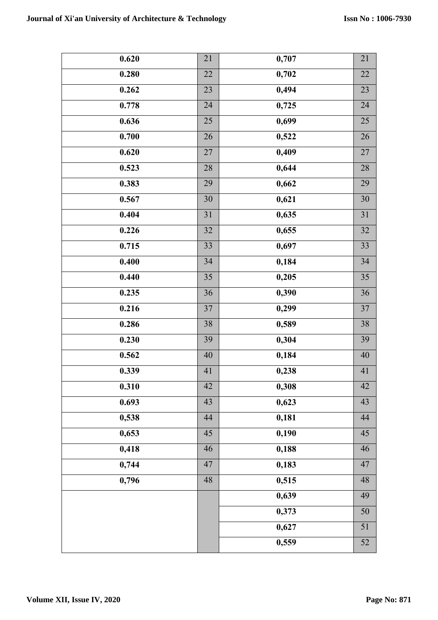| 0.620 | 21              | 0,707 | $21\,$ |
|-------|-----------------|-------|--------|
| 0.280 | 22              | 0,702 | $22\,$ |
| 0.262 | 23              | 0,494 | 23     |
| 0.778 | 24              | 0,725 | $24\,$ |
| 0.636 | 25              | 0,699 | 25     |
| 0.700 | $26\,$          | 0,522 | 26     |
| 0.620 | 27              | 0,409 | $27\,$ |
| 0.523 | 28              | 0,644 | $28\,$ |
| 0.383 | 29              | 0,662 | 29     |
| 0.567 | $30\,$          | 0,621 | $30\,$ |
| 0.404 | $\overline{31}$ | 0,635 | 31     |
| 0.226 | 32              | 0,655 | 32     |
| 0.715 | 33              | 0,697 | 33     |
| 0.400 | 34              | 0,184 | 34     |
| 0.440 | 35              | 0,205 | 35     |
| 0.235 | 36              | 0,390 | 36     |
| 0.216 | 37              | 0,299 | $37\,$ |
| 0.286 | 38              | 0,589 | 38     |
| 0.230 | 39              | 0,304 | 39     |
| 0.562 | 40              | 0,184 | $40\,$ |
| 0.339 | 41              | 0,238 | 41     |
| 0.310 | 42              | 0,308 | 42     |
| 0.693 | 43              | 0,623 | 43     |
| 0,538 | 44              | 0,181 | $44\,$ |
| 0,653 | 45              | 0,190 | 45     |
| 0,418 | 46              | 0,188 | 46     |
| 0,744 | 47              | 0,183 | 47     |
| 0,796 | 48              | 0,515 | 48     |
|       |                 | 0,639 | 49     |
|       |                 | 0,373 | 50     |
|       |                 | 0,627 | 51     |
|       |                 | 0,559 | 52     |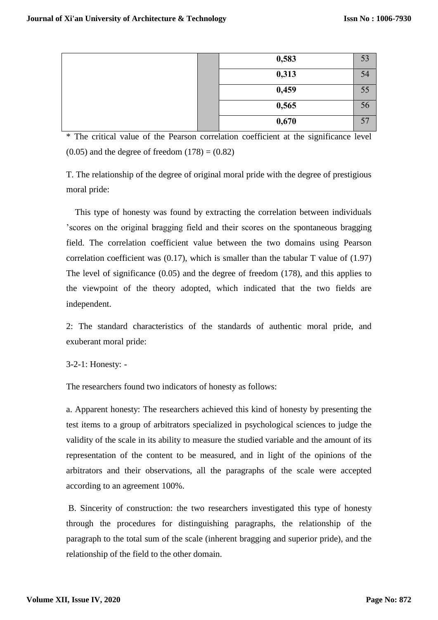| 0,583 | 53 |
|-------|----|
| 0,313 | 54 |
| 0,459 | 55 |
| 0,565 | 56 |
| 0,670 | 57 |

\* The critical value of the Pearson correlation coefficient at the significance level  $(0.05)$  and the degree of freedom  $(178) = (0.82)$ 

T. The relationship of the degree of original moral pride with the degree of prestigious moral pride:

 This type of honesty was found by extracting the correlation between individuals 'scores on the original bragging field and their scores on the spontaneous bragging field. The correlation coefficient value between the two domains using Pearson correlation coefficient was (0.17), which is smaller than the tabular T value of (1.97) The level of significance (0.05) and the degree of freedom (178), and this applies to the viewpoint of the theory adopted, which indicated that the two fields are independent.

2: The standard characteristics of the standards of authentic moral pride, and exuberant moral pride:

## 3-2-1: Honesty: -

The researchers found two indicators of honesty as follows:

a. Apparent honesty: The researchers achieved this kind of honesty by presenting the test items to a group of arbitrators specialized in psychological sciences to judge the validity of the scale in its ability to measure the studied variable and the amount of its representation of the content to be measured, and in light of the opinions of the arbitrators and their observations, all the paragraphs of the scale were accepted according to an agreement 100%.

B. Sincerity of construction: the two researchers investigated this type of honesty through the procedures for distinguishing paragraphs, the relationship of the paragraph to the total sum of the scale (inherent bragging and superior pride), and the relationship of the field to the other domain.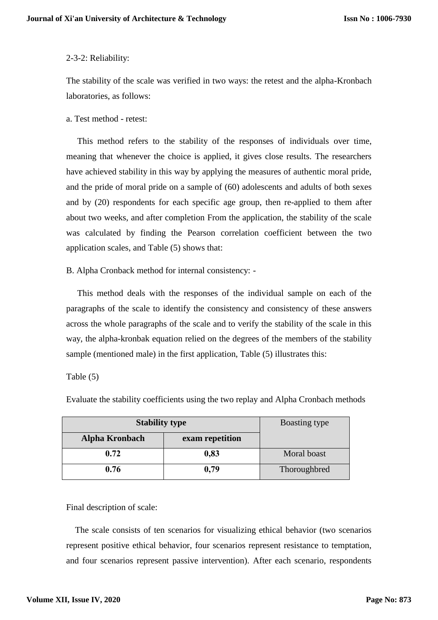## 2-3-2: Reliability:

The stability of the scale was verified in two ways: the retest and the alpha-Kronbach laboratories, as follows:

#### a. Test method - retest:

 This method refers to the stability of the responses of individuals over time, meaning that whenever the choice is applied, it gives close results. The researchers have achieved stability in this way by applying the measures of authentic moral pride, and the pride of moral pride on a sample of (60) adolescents and adults of both sexes and by (20) respondents for each specific age group, then re-applied to them after about two weeks, and after completion From the application, the stability of the scale was calculated by finding the Pearson correlation coefficient between the two application scales, and Table (5) shows that:

B. Alpha Cronback method for internal consistency: -

 This method deals with the responses of the individual sample on each of the paragraphs of the scale to identify the consistency and consistency of these answers across the whole paragraphs of the scale and to verify the stability of the scale in this way, the alpha-kronbak equation relied on the degrees of the members of the stability sample (mentioned male) in the first application, Table (5) illustrates this:

Table (5)

| <b>Stability type</b> | Boasting type   |              |
|-----------------------|-----------------|--------------|
| <b>Alpha Kronbach</b> | exam repetition |              |
| 0.72                  | 0,83            | Moral boast  |
| 0.76                  | 0.79            | Thoroughbred |

Evaluate the stability coefficients using the two replay and Alpha Cronbach methods

Final description of scale:

 The scale consists of ten scenarios for visualizing ethical behavior (two scenarios represent positive ethical behavior, four scenarios represent resistance to temptation, and four scenarios represent passive intervention). After each scenario, respondents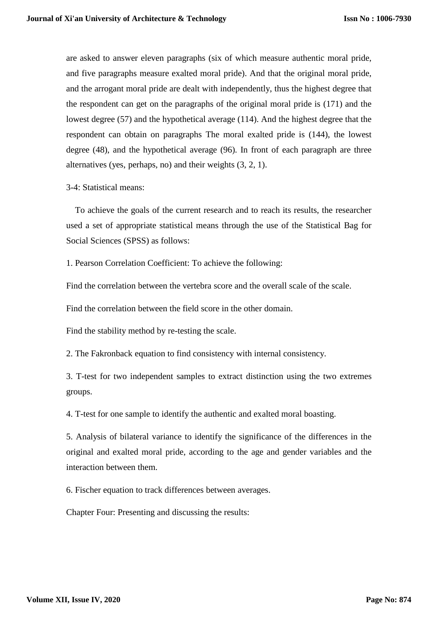are asked to answer eleven paragraphs (six of which measure authentic moral pride, and five paragraphs measure exalted moral pride). And that the original moral pride, and the arrogant moral pride are dealt with independently, thus the highest degree that the respondent can get on the paragraphs of the original moral pride is (171) and the lowest degree (57) and the hypothetical average (114). And the highest degree that the respondent can obtain on paragraphs The moral exalted pride is (144), the lowest degree (48), and the hypothetical average (96). In front of each paragraph are three alternatives (yes, perhaps, no) and their weights (3, 2, 1).

3-4: Statistical means:

 To achieve the goals of the current research and to reach its results, the researcher used a set of appropriate statistical means through the use of the Statistical Bag for Social Sciences (SPSS) as follows:

1. Pearson Correlation Coefficient: To achieve the following:

Find the correlation between the vertebra score and the overall scale of the scale.

Find the correlation between the field score in the other domain.

Find the stability method by re-testing the scale.

2. The Fakronback equation to find consistency with internal consistency.

3. T-test for two independent samples to extract distinction using the two extremes groups.

4. T-test for one sample to identify the authentic and exalted moral boasting.

5. Analysis of bilateral variance to identify the significance of the differences in the original and exalted moral pride, according to the age and gender variables and the interaction between them.

6. Fischer equation to track differences between averages.

Chapter Four: Presenting and discussing the results: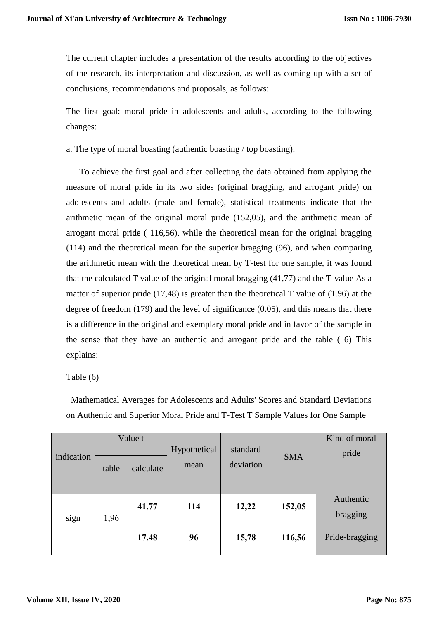The current chapter includes a presentation of the results according to the objectives of the research, its interpretation and discussion, as well as coming up with a set of conclusions, recommendations and proposals, as follows:

The first goal: moral pride in adolescents and adults, according to the following changes:

a. The type of moral boasting (authentic boasting / top boasting).

 To achieve the first goal and after collecting the data obtained from applying the measure of moral pride in its two sides (original bragging, and arrogant pride) on adolescents and adults (male and female), statistical treatments indicate that the arithmetic mean of the original moral pride (152,05), and the arithmetic mean of arrogant moral pride ( 116,56), while the theoretical mean for the original bragging (114) and the theoretical mean for the superior bragging (96), and when comparing the arithmetic mean with the theoretical mean by T-test for one sample, it was found that the calculated T value of the original moral bragging (41,77) and the T-value As a matter of superior pride (17,48) is greater than the theoretical T value of (1.96) at the degree of freedom (179) and the level of significance (0.05), and this means that there is a difference in the original and exemplary moral pride and in favor of the sample in the sense that they have an authentic and arrogant pride and the table ( 6) This explains:

## Table (6)

|            | Value t<br>Hypothetical<br>standard |           | Kind of moral |           |            |                       |
|------------|-------------------------------------|-----------|---------------|-----------|------------|-----------------------|
| indication | table                               | calculate | mean          | deviation | <b>SMA</b> | pride                 |
| sign       | 1,96                                | 41,77     | 114           | 12,22     | 152,05     | Authentic<br>bragging |
|            |                                     | 17,48     | 96            | 15,78     | 116,56     | Pride-bragging        |

Mathematical Averages for Adolescents and Adults' Scores and Standard Deviations on Authentic and Superior Moral Pride and T-Test T Sample Values for One Sample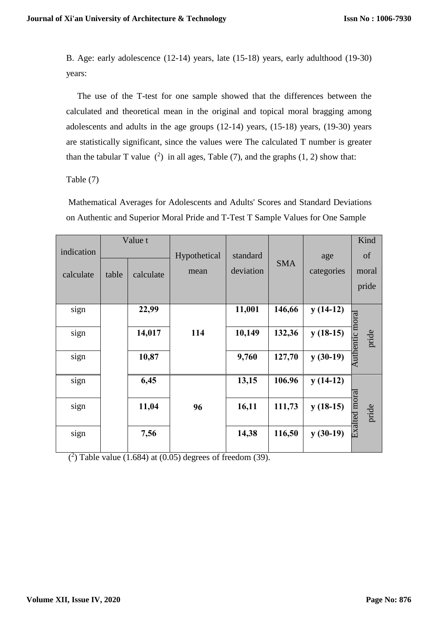B. Age: early adolescence (12-14) years, late (15-18) years, early adulthood (19-30) years:

 The use of the T-test for one sample showed that the differences between the calculated and theoretical mean in the original and topical moral bragging among adolescents and adults in the age groups (12-14) years, (15-18) years, (19-30) years are statistically significant, since the values were The calculated T number is greater than the tabular T value  $(2)$  in all ages, Table (7), and the graphs (1, 2) show that:

## Table (7)

Mathematical Averages for Adolescents and Adults' Scores and Standard Deviations on Authentic and Superior Moral Pride and T-Test T Sample Values for One Sample

|            | Value t |           |                          |           |            |            | Kind                  |  |
|------------|---------|-----------|--------------------------|-----------|------------|------------|-----------------------|--|
| indication |         |           | Hypothetical<br>standard |           |            | age        | of                    |  |
| calculate  | table   | calculate | mean                     | deviation | <b>SMA</b> | categories | moral                 |  |
|            |         |           |                          |           |            |            | pride                 |  |
|            |         | 22,99     |                          | 11,001    | 146,66     |            |                       |  |
| sign       |         |           |                          |           |            | $y(14-12)$ |                       |  |
| sign       |         | 14,017    | 114                      | 10,149    | 132,36     | $y(18-15)$ | pride                 |  |
| sign       |         | 10,87     |                          | 9,760     | 127,70     | $y(30-19)$ | Authentic moral       |  |
| sign       |         | 6,45      |                          | 13,15     | 106.96     | $y(14-12)$ |                       |  |
| sign       |         | 11,04     | 96                       | 16,11     | 111,73     | $y(18-15)$ | Exalted mora<br>pride |  |
| sign       |         | 7,56      |                          | 14,38     | 116,50     | $y(30-19)$ |                       |  |

 $(2)$  Table value (1.684) at (0.05) degrees of freedom (39).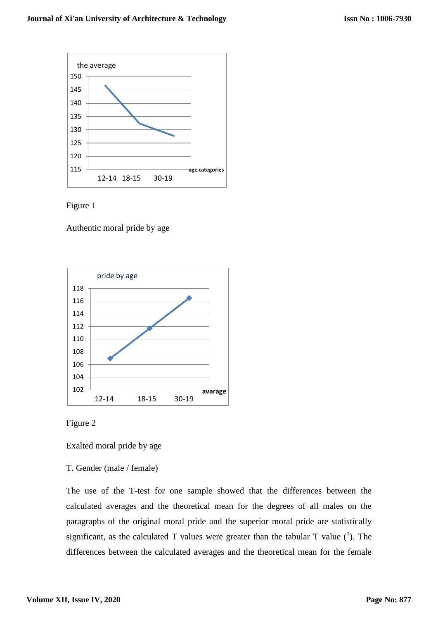



Authentic moral pride by age





Exalted moral pride by age

## T. Gender (male / female)

The use of the T-test for one sample showed that the differences between the calculated averages and the theoretical mean for the degrees of all males on the paragraphs of the original moral pride and the superior moral pride are statistically significant, as the calculated T values were greater than the tabular T value  $(3)$ . The differences between the calculated averages and the theoretical mean for the female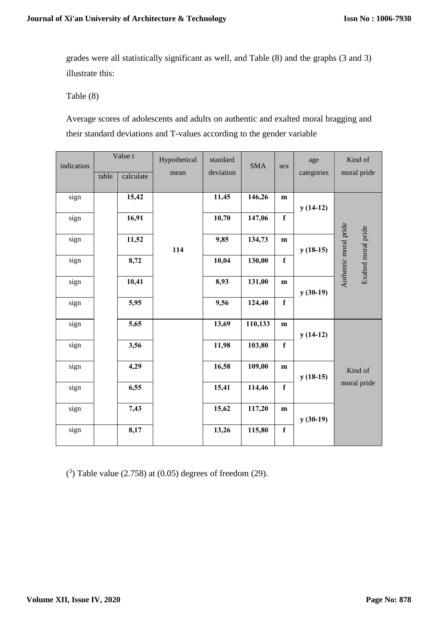grades were all statistically significant as well, and Table (8) and the graphs (3 and 3) illustrate this:

Table (8)

Average scores of adolescents and adults on authentic and exalted moral bragging and their standard deviations and T-values according to the gender variable

| indication | Value t<br>table<br>calculate |       | Hypothetical      | standard | <b>SMA</b> | sex         | age        | Kind of                                      |
|------------|-------------------------------|-------|-------------------|----------|------------|-------------|------------|----------------------------------------------|
|            |                               |       | deviation<br>mean |          |            |             | categories | moral pride                                  |
|            |                               |       |                   |          |            |             |            |                                              |
| sign       |                               | 15,42 |                   | 11,45    | 146,26     | ${\bf m}$   | $y(14-12)$ |                                              |
| sign       |                               | 16,91 |                   | 10,70    | 147,06     | $\mathbf f$ |            |                                              |
| sign       |                               | 11,52 | 114               | 9,85     | 134,73     | ${\bf m}$   | $y(18-15)$ |                                              |
| sign       |                               | 8,72  |                   | 10,04    | 130,00     | $\mathbf f$ |            | Authentic moral pride<br>Exalted moral pride |
| sign       |                               | 10,41 |                   | 8,93     | 131,00     | ${\bf m}$   | $y(30-19)$ |                                              |
| sign       |                               | 5,95  |                   | 9,56     | 124,40     | $\mathbf f$ |            |                                              |
| sign       |                               | 5,65  |                   | 13,69    | 110,133    | ${\bf m}$   | $y(14-12)$ |                                              |
| sign       |                               | 3,56  |                   | 11,98    | 103,80     | $\mathbf f$ |            |                                              |
| sign       |                               | 4,29  |                   | 16,58    | 109,00     | ${\bf m}$   | $y(18-15)$ | Kind of                                      |
| sign       |                               | 6,55  |                   | 15,41    | 114,46     | $\mathbf f$ |            | moral pride                                  |
| sign       |                               | 7,43  |                   | 15,62    | 117,20     | m           | $y(30-19)$ |                                              |
| sign       |                               | 8,17  |                   | 13,26    | 115,80     | $\mathbf f$ |            |                                              |

 $(3)$  Table value (2.758) at (0.05) degrees of freedom (29).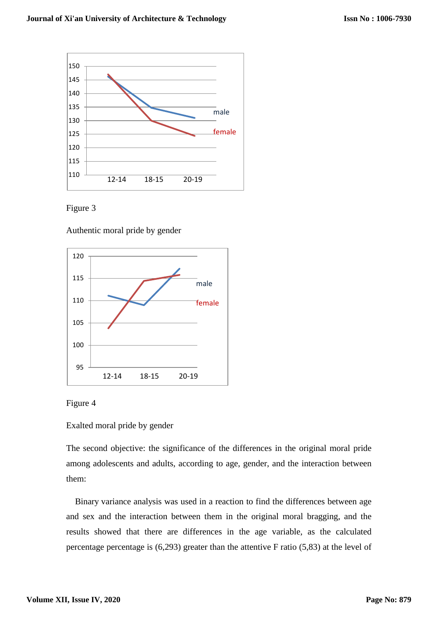



Authentic moral pride by gender





Exalted moral pride by gender

The second objective: the significance of the differences in the original moral pride among adolescents and adults, according to age, gender, and the interaction between them:

 Binary variance analysis was used in a reaction to find the differences between age and sex and the interaction between them in the original moral bragging, and the results showed that there are differences in the age variable, as the calculated percentage percentage is (6,293) greater than the attentive F ratio (5,83) at the level of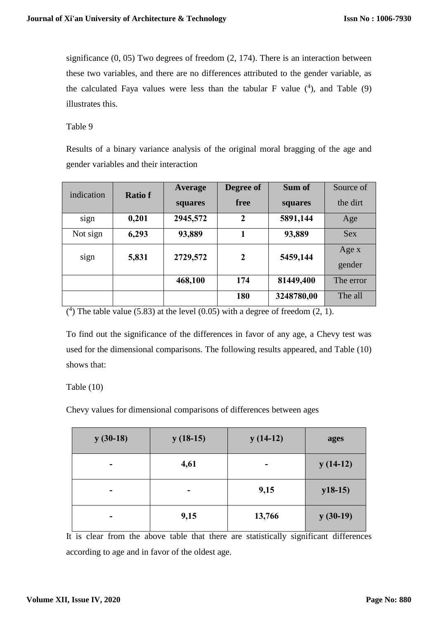significance (0, 05) Two degrees of freedom (2, 174). There is an interaction between these two variables, and there are no differences attributed to the gender variable, as the calculated Faya values were less than the tabular F value  $(4)$ , and Table  $(9)$ illustrates this.

Table 9

Results of a binary variance analysis of the original moral bragging of the age and gender variables and their interaction

| indication | <b>Ratio f</b> | Average  | Degree of        | Sum of     | Source of       |
|------------|----------------|----------|------------------|------------|-----------------|
|            |                | squares  | free             | squares    | the dirt        |
| sign       | 0,201          | 2945,572 | $\boldsymbol{2}$ | 5891,144   | Age             |
| Not sign   | 6,293          | 93,889   |                  | 93,889     | <b>Sex</b>      |
| sign       | 5,831          | 2729,572 | $\mathbf{2}$     | 5459,144   | Age x<br>gender |
|            |                | 468,100  | 174              | 81449,400  | The error       |
|            |                |          | 180              | 3248780,00 | The all         |

 $(4)$  The table value (5.83) at the level (0.05) with a degree of freedom (2, 1).

To find out the significance of the differences in favor of any age, a Chevy test was used for the dimensional comparisons. The following results appeared, and Table (10) shows that:

## Table (10)

Chevy values for dimensional comparisons of differences between ages

| $y(30-18)$ | $y(18-15)$ | $y(14-12)$ | ages       |
|------------|------------|------------|------------|
| ۰          | 4,61       | ۰          | $y(14-12)$ |
| -          | -          | 9,15       | $y18-15$   |
|            | 9,15       | 13,766     | $y(30-19)$ |

It is clear from the above table that there are statistically significant differences according to age and in favor of the oldest age.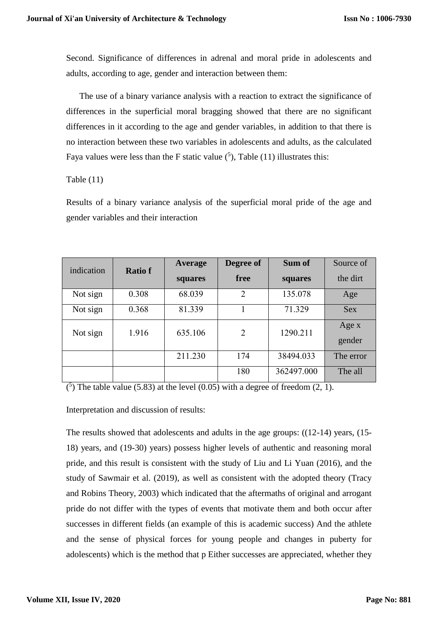Second. Significance of differences in adrenal and moral pride in adolescents and adults, according to age, gender and interaction between them:

 The use of a binary variance analysis with a reaction to extract the significance of differences in the superficial moral bragging showed that there are no significant differences in it according to the age and gender variables, in addition to that there is no interaction between these two variables in adolescents and adults, as the calculated Faya values were less than the F static value  $(5)$ , Table (11) illustrates this:

## Table (11)

Results of a binary variance analysis of the superficial moral pride of the age and gender variables and their interaction

| indication | <b>Ratiof</b> | Average | Degree of      | Sum of     | Source of       |
|------------|---------------|---------|----------------|------------|-----------------|
|            |               | squares | free           | squares    | the dirt        |
| Not sign   | 0.308         | 68.039  | $\overline{2}$ | 135.078    | Age             |
| Not sign   | 0.368         | 81.339  |                | 71.329     | <b>Sex</b>      |
| Not sign   | 1.916         | 635.106 | 2              | 1290.211   | Age x<br>gender |
|            |               | 211.230 | 174            | 38494.033  | The error       |
|            |               |         | 180            | 362497.000 | The all         |

 $(5)$  The table value (5.83) at the level (0.05) with a degree of freedom (2, 1).

Interpretation and discussion of results:

The results showed that adolescents and adults in the age groups:  $((12-14)$  years,  $(15-$ 18) years, and (19-30) years) possess higher levels of authentic and reasoning moral pride, and this result is consistent with the study of Liu and Li Yuan (2016), and the study of Sawmair et al. (2019), as well as consistent with the adopted theory (Tracy and Robins Theory, 2003) which indicated that the aftermaths of original and arrogant pride do not differ with the types of events that motivate them and both occur after successes in different fields (an example of this is academic success) And the athlete and the sense of physical forces for young people and changes in puberty for adolescents) which is the method that p Either successes are appreciated, whether they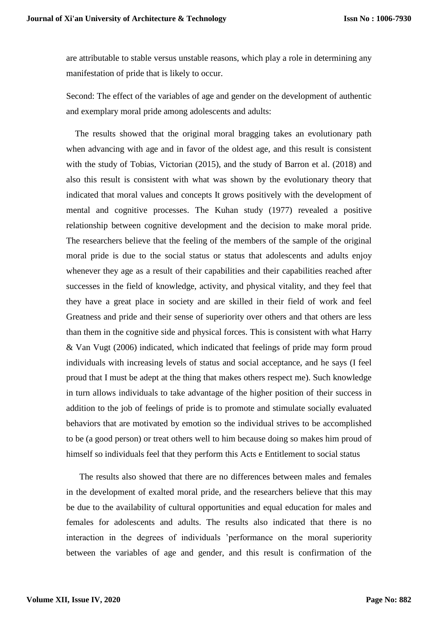are attributable to stable versus unstable reasons, which play a role in determining any manifestation of pride that is likely to occur.

Second: The effect of the variables of age and gender on the development of authentic and exemplary moral pride among adolescents and adults:

 The results showed that the original moral bragging takes an evolutionary path when advancing with age and in favor of the oldest age, and this result is consistent with the study of Tobias, Victorian (2015), and the study of Barron et al. (2018) and also this result is consistent with what was shown by the evolutionary theory that indicated that moral values and concepts It grows positively with the development of mental and cognitive processes. The Kuhan study (1977) revealed a positive relationship between cognitive development and the decision to make moral pride. The researchers believe that the feeling of the members of the sample of the original moral pride is due to the social status or status that adolescents and adults enjoy whenever they age as a result of their capabilities and their capabilities reached after successes in the field of knowledge, activity, and physical vitality, and they feel that they have a great place in society and are skilled in their field of work and feel Greatness and pride and their sense of superiority over others and that others are less than them in the cognitive side and physical forces. This is consistent with what Harry & Van Vugt (2006) indicated, which indicated that feelings of pride may form proud individuals with increasing levels of status and social acceptance, and he says (I feel proud that I must be adept at the thing that makes others respect me). Such knowledge in turn allows individuals to take advantage of the higher position of their success in addition to the job of feelings of pride is to promote and stimulate socially evaluated behaviors that are motivated by emotion so the individual strives to be accomplished to be (a good person) or treat others well to him because doing so makes him proud of himself so individuals feel that they perform this Acts e Entitlement to social status

 The results also showed that there are no differences between males and females in the development of exalted moral pride, and the researchers believe that this may be due to the availability of cultural opportunities and equal education for males and females for adolescents and adults. The results also indicated that there is no interaction in the degrees of individuals 'performance on the moral superiority between the variables of age and gender, and this result is confirmation of the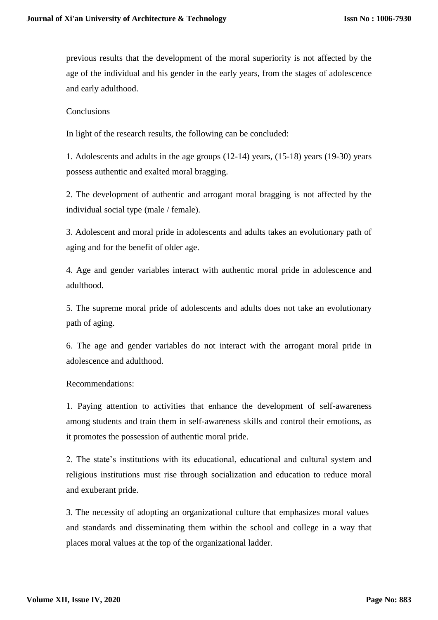previous results that the development of the moral superiority is not affected by the age of the individual and his gender in the early years, from the stages of adolescence and early adulthood.

## Conclusions

In light of the research results, the following can be concluded:

1. Adolescents and adults in the age groups (12-14) years, (15-18) years (19-30) years possess authentic and exalted moral bragging.

2. The development of authentic and arrogant moral bragging is not affected by the individual social type (male / female).

3. Adolescent and moral pride in adolescents and adults takes an evolutionary path of aging and for the benefit of older age.

4. Age and gender variables interact with authentic moral pride in adolescence and adulthood.

5. The supreme moral pride of adolescents and adults does not take an evolutionary path of aging.

6. The age and gender variables do not interact with the arrogant moral pride in adolescence and adulthood.

#### Recommendations:

1. Paying attention to activities that enhance the development of self-awareness among students and train them in self-awareness skills and control their emotions, as it promotes the possession of authentic moral pride.

2. The state's institutions with its educational, educational and cultural system and religious institutions must rise through socialization and education to reduce moral and exuberant pride.

3. The necessity of adopting an organizational culture that emphasizes moral values and standards and disseminating them within the school and college in a way that places moral values at the top of the organizational ladder.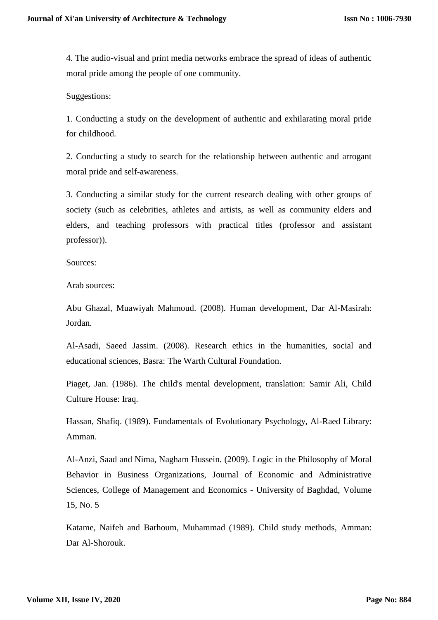4. The audio-visual and print media networks embrace the spread of ideas of authentic moral pride among the people of one community.

Suggestions:

1. Conducting a study on the development of authentic and exhilarating moral pride for childhood.

2. Conducting a study to search for the relationship between authentic and arrogant moral pride and self-awareness.

3. Conducting a similar study for the current research dealing with other groups of society (such as celebrities, athletes and artists, as well as community elders and elders, and teaching professors with practical titles (professor and assistant professor)).

Sources:

Arab sources:

Abu Ghazal, Muawiyah Mahmoud. (2008). Human development, Dar Al-Masirah: Jordan.

Al-Asadi, Saeed Jassim. (2008). Research ethics in the humanities, social and educational sciences, Basra: The Warth Cultural Foundation.

Piaget, Jan. (1986). The child's mental development, translation: Samir Ali, Child Culture House: Iraq.

Hassan, Shafiq. (1989). Fundamentals of Evolutionary Psychology, Al-Raed Library: Amman.

Al-Anzi, Saad and Nima, Nagham Hussein. (2009). Logic in the Philosophy of Moral Behavior in Business Organizations, Journal of Economic and Administrative Sciences, College of Management and Economics - University of Baghdad, Volume 15, No. 5

Katame, Naifeh and Barhoum, Muhammad (1989). Child study methods, Amman: Dar Al-Shorouk.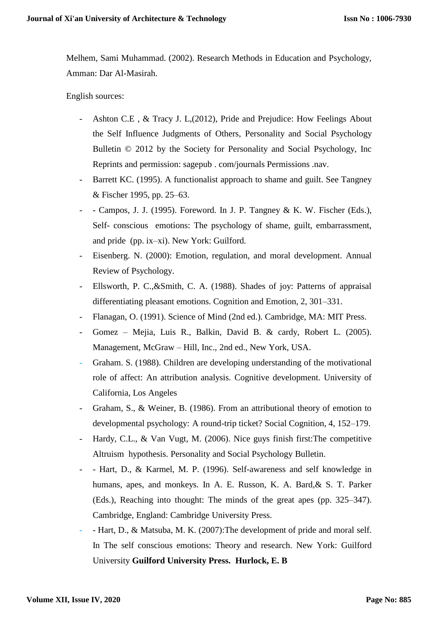Melhem, Sami Muhammad. (2002). Research Methods in Education and Psychology, Amman: Dar Al-Masirah.

English sources:

- Ashton C.E , & Tracy J. L,(2012), Pride and Prejudice: How Feelings About the Self Influence Judgments of Others, Personality and Social Psychology Bulletin © 2012 by the Society for Personality and Social Psychology, Inc Reprints and permission: sagepub . com/journals Permissions .nav.
- Barrett KC. (1995). A functionalist approach to shame and guilt. See Tangney & Fischer 1995, pp. 25–63.
- Campos, J. J. (1995). Foreword. In J. P. Tangney & K. W. Fischer (Eds.), Self- conscious emotions: The psychology of shame, guilt, embarrassment, and pride (pp. ix–xi). New York: Guilford.
- Eisenberg. N. (2000): Emotion, regulation, and moral development. Annual Review of Psychology.
- Ellsworth, P. C.,&Smith, C. A. (1988). Shades of joy: Patterns of appraisal differentiating pleasant emotions. Cognition and Emotion, 2, 301–331.
- Flanagan, O. (1991). Science of Mind (2nd ed.). Cambridge, MA: MIT Press.
- Gomez Mejia, Luis R., Balkin, David B. & cardy, Robert L. (2005). Management, McGraw – Hill, Inc., 2nd ed., New York, USA.
- Graham. S. (1988). Children are developing understanding of the motivational role of affect: An attribution analysis. Cognitive development. University of California, Los Angeles
- Graham, S., & Weiner, B. (1986). From an attributional theory of emotion to developmental psychology: A round-trip ticket? Social Cognition, 4, 152–179.
- Hardy, C.L., & Van Vugt, M. (2006). Nice guys finish first: The competitive Altruism hypothesis. Personality and Social Psychology Bulletin.
- Hart, D., & Karmel, M. P. (1996). Self-awareness and self knowledge in humans, apes, and monkeys. In A. E. Russon, K. A. Bard, & S. T. Parker (Eds.), Reaching into thought: The minds of the great apes (pp. 325–347). Cambridge, England: Cambridge University Press.
- Hart, D., & Matsuba, M. K. (2007): The development of pride and moral self. In The self conscious emotions: Theory and research. New York: Guilford University **Guilford University Press. Hurlock, E. B**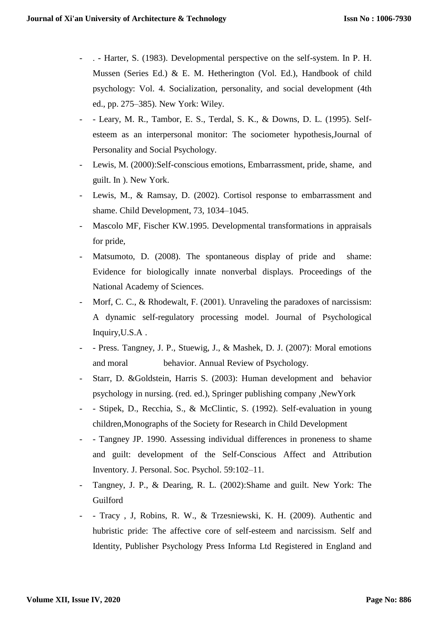- . Harter, S. (1983). Developmental perspective on the self-system. In P. H. Mussen (Series Ed.) & E. M. Hetherington (Vol. Ed.), Handbook of child psychology: Vol. 4. Socialization, personality, and social development (4th ed., pp. 275–385). New York: Wiley.
- - Leary, M. R., Tambor, E. S., Terdal, S. K., & Downs, D. L. (1995). Selfesteem as an interpersonal monitor: The sociometer hypothesis,Journal of Personality and Social Psychology.
- Lewis, M. (2000):Self-conscious emotions, Embarrassment, pride, shame, and guilt. In ). New York.
- Lewis, M., & Ramsay, D. (2002). Cortisol response to embarrassment and shame. Child Development, 73, 1034–1045.
- Mascolo MF, Fischer KW.1995. Developmental transformations in appraisals for pride,
- Matsumoto, D. (2008). The spontaneous display of pride and shame: Evidence for biologically innate nonverbal displays. Proceedings of the National Academy of Sciences.
- Morf, C. C., & Rhodewalt, F. (2001). Unraveling the paradoxes of narcissism: A dynamic self-regulatory processing model. Journal of Psychological Inquiry,U.S.A .
- Press. Tangney, J. P., Stuewig, J., & Mashek, D. J. (2007): Moral emotions and moral behavior. Annual Review of Psychology.
- Starr, D. &Goldstein, Harris S. (2003): Human development and behavior psychology in nursing. (red. ed.), Springer publishing company ,NewYork
- Stipek, D., Recchia, S., & McClintic, S. (1992). Self-evaluation in young children,Monographs of the Society for Research in Child Development
- - Tangney JP. 1990. Assessing individual differences in proneness to shame and guilt: development of the Self-Conscious Affect and Attribution Inventory. J. Personal. Soc. Psychol. 59:102–11.
- Tangney, J. P., & Dearing, R. L. (2002):Shame and guilt. New York: The Guilford
- Tracy, J, Robins, R. W., & Trzesniewski, K. H. (2009). Authentic and hubristic pride: The affective core of self-esteem and narcissism. Self and Identity, Publisher Psychology Press Informa Ltd Registered in England and